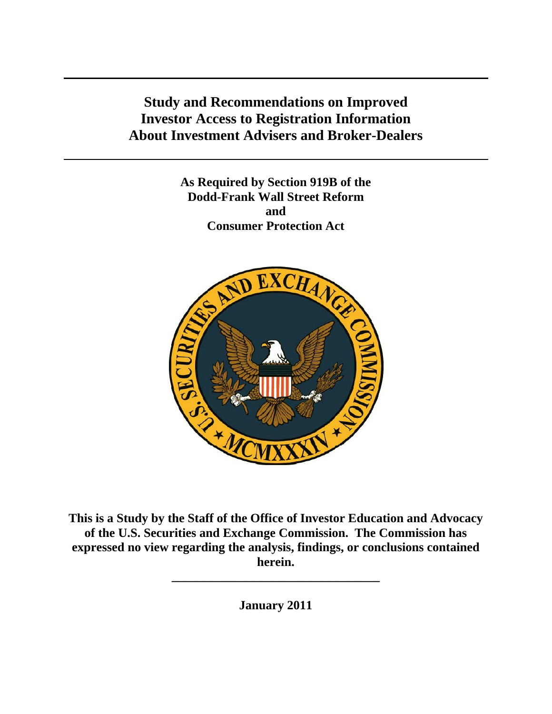**Study and Recommendations on Improved Investor Access to Registration Information About Investment Advisers and Broker-Dealers** 

> **As Required by Section 919B of the Dodd-Frank Wall Street Reform and Consumer Protection Act**



**This is a Study by the Staff of the Office of Investor Education and Advocacy of the U.S. Securities and Exchange Commission. The Commission has expressed no view regarding the analysis, findings, or conclusions contained herein.** 

**\_\_\_\_\_\_\_\_\_\_\_\_\_\_\_\_\_\_\_\_\_\_\_\_\_\_\_\_\_\_\_\_\_** 

**January 2011**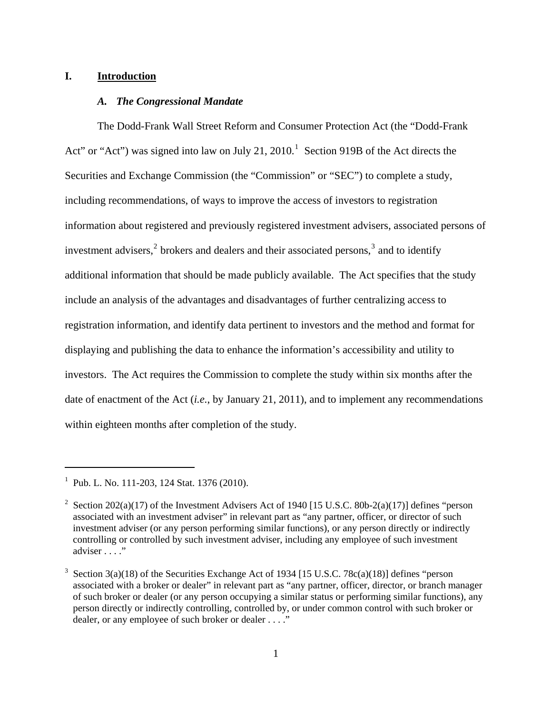### **I. Introduction**

## *A. The Congressional Mandate*

The Dodd-Frank Wall Street Reform and Consumer Protection Act (the "Dodd-Frank Act" or "Act") was signed into law on July 2[1](#page-1-0), 2010.<sup>1</sup> Section 919B of the Act directs the Securities and Exchange Commission (the "Commission" or "SEC") to complete a study, including recommendations, of ways to improve the access of investors to registration information about registered and previously registered investment advisers, associated persons of investment advisers,  $2$  brokers and dealers and their associated persons,  $3$  and to identify additional information that should be made publicly available. The Act specifies that the study include an analysis of the advantages and disadvantages of further centralizing access to registration information, and identify data pertinent to investors and the method and format for displaying and publishing the data to enhance the information's accessibility and utility to investors. The Act requires the Commission to complete the study within six months after the date of enactment of the Act (*i.e.*, by January 21, 2011), and to implement any recommendations within eighteen months after completion of the study.

<span id="page-1-0"></span><sup>&</sup>lt;sup>1</sup> Pub. L. No. 111-203, 124 Stat. 1376 (2010).

<span id="page-1-1"></span><sup>2</sup> Section 202(a)(17) of the Investment Advisers Act of 1940 [15 U.S.C. 80b-2(a)(17)] defines "person associated with an investment adviser" in relevant part as "any partner, officer, or director of such investment adviser (or any person performing similar functions), or any person directly or indirectly controlling or controlled by such investment adviser, including any employee of such investment adviser . . . ."

<span id="page-1-2"></span><sup>3</sup> Section 3(a)(18) of the Securities Exchange Act of 1934 [15 U.S.C. 78c(a)(18)] defines "person associated with a broker or dealer" in relevant part as "any partner, officer, director, or branch manager of such broker or dealer (or any person occupying a similar status or performing similar functions), any person directly or indirectly controlling, controlled by, or under common control with such broker or dealer, or any employee of such broker or dealer . . . ."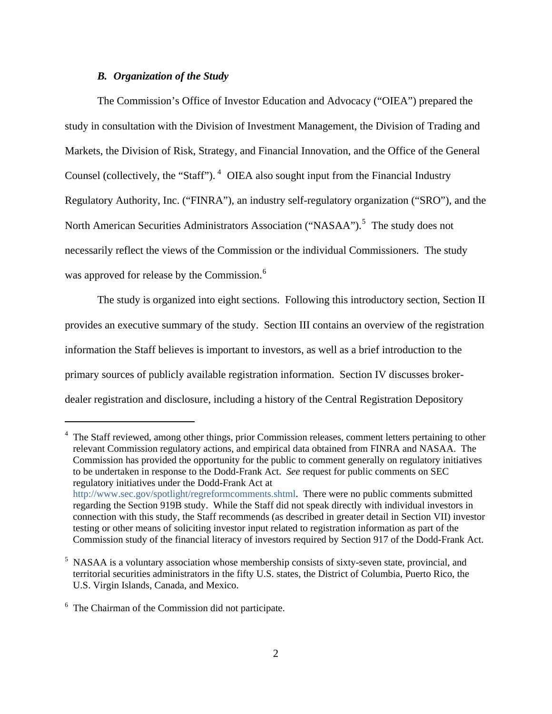### *B. Organization of the Study*

The Commission's Office of Investor Education and Advocacy ("OIEA") prepared the study in consultation with the Division of Investment Management, the Division of Trading and Markets, the Division of Risk, Strategy, and Financial Innovation, and the Office of the General Counsel (collectively, the "Staff").  $4$  OIEA also sought input from the Financial Industry Regulatory Authority, Inc. ("FINRA"), an industry self-regulatory organization ("SRO"), and the North American Securities Administrators Association ("NASAA").<sup>[5](#page-2-1)</sup> The study does not necessarily reflect the views of the Commission or the individual Commissioners. The study was approved for release by the Commission.<sup>[6](#page-2-2)</sup>

The study is organized into eight sections. Following this introductory section, Section II provides an executive summary of the study. Section III contains an overview of the registration information the Staff believes is important to investors, as well as a brief introduction to the primary sources of publicly available registration information. Section IV discusses brokerdealer registration and disclosure, including a history of the Central Registration Depository

-

<span id="page-2-0"></span><sup>&</sup>lt;sup>4</sup> The Staff reviewed, among other things, prior Commission releases, comment letters pertaining to other relevant Commission regulatory actions, and empirical data obtained from FINRA and NASAA. The Commission has provided the opportunity for the public to comment generally on regulatory initiatives to be undertaken in response to the Dodd-Frank Act. *See* request for public comments on SEC regulatory initiatives under the Dodd-Frank Act at <http://www.sec.gov/spotlight/regreformcomments.shtml>. There were no public comments submitted regarding the Section 919B study. While the Staff did not speak directly with individual investors in connection with this study, the Staff recommends (as described in greater detail in Section VII) investor testing or other means of soliciting investor input related to registration information as part of the Commission study of the financial literacy of investors required by Section 917 of the Dodd-Frank Act.

<span id="page-2-1"></span><sup>&</sup>lt;sup>5</sup> NASAA is a voluntary association whose membership consists of sixty-seven state, provincial, and territorial securities administrators in the fifty U.S. states, the District of Columbia, Puerto Rico, the U.S. Virgin Islands, Canada, and Mexico.

<span id="page-2-2"></span><sup>&</sup>lt;sup>6</sup> The Chairman of the Commission did not participate.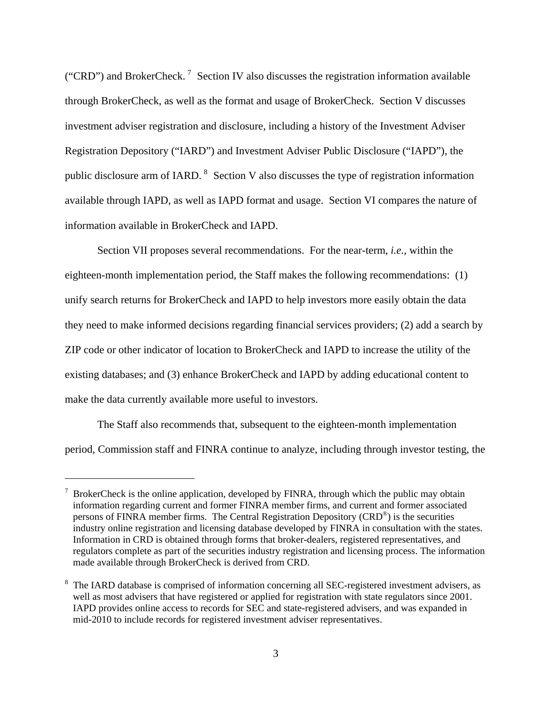("CRD") and BrokerCheck.<sup>[7](#page-3-0)</sup> Section IV also discusses the registration information available through BrokerCheck, as well as the format and usage of BrokerCheck. Section V discusses investment adviser registration and disclosure, including a history of the Investment Adviser Registration Depository ("IARD") and Investment Adviser Public Disclosure ("IAPD"), the public disclosure arm of IARD. <sup>[8](#page-3-1)</sup> Section V also discusses the type of registration information available through IAPD, as well as IAPD format and usage. Section VI compares the nature of information available in BrokerCheck and IAPD.

Section VII proposes several recommendations. For the near-term, *i.e.*, within the eighteen-month implementation period, the Staff makes the following recommendations: (1) unify search returns for BrokerCheck and IAPD to help investors more easily obtain the data they need to make informed decisions regarding financial services providers; (2) add a search by ZIP code or other indicator of location to BrokerCheck and IAPD to increase the utility of the existing databases; and (3) enhance BrokerCheck and IAPD by adding educational content to make the data currently available more useful to investors.

The Staff also recommends that, subsequent to the eighteen-month implementation period, Commission staff and FINRA continue to analyze, including through investor testing, the

-

<span id="page-3-0"></span><sup>7</sup> BrokerCheck is the online application, developed by FINRA, through which the public may obtain information regarding current and former FINRA member firms, and current and former associated persons of FINRA member firms. The Central Registration Depository (CRD®) is the securities industry online registration and licensing database developed by FINRA in consultation with the states. Information in CRD is obtained through forms that broker-dealers, registered representatives, and regulators complete as part of the securities industry registration and licensing process. The information made available through BrokerCheck is derived from CRD.

<span id="page-3-1"></span><sup>8</sup> The IARD database is comprised of information concerning all SEC-registered investment advisers, as well as most advisers that have registered or applied for registration with state regulators since 2001. IAPD provides online access to records for SEC and state-registered advisers, and was expanded in mid-2010 to include records for registered investment adviser representatives.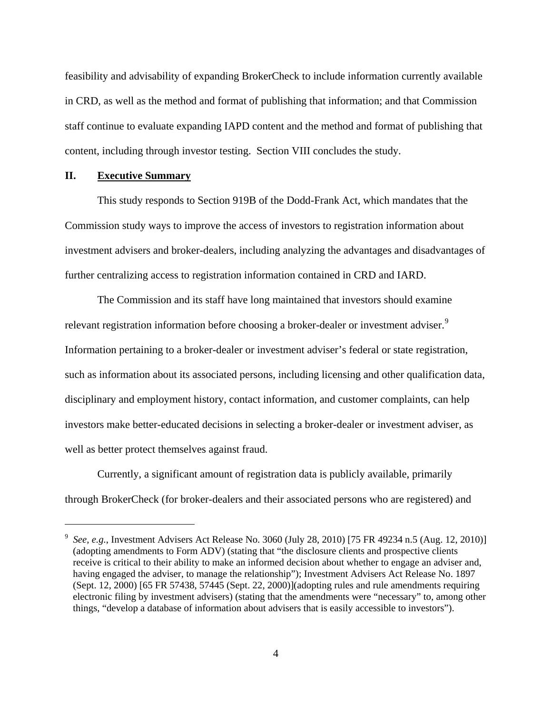feasibility and advisability of expanding BrokerCheck to include information currently available in CRD, as well as the method and format of publishing that information; and that Commission staff continue to evaluate expanding IAPD content and the method and format of publishing that content, including through investor testing. Section VIII concludes the study.

#### **II. Executive Summary**

 $\overline{a}$ 

This study responds to Section 919B of the Dodd-Frank Act, which mandates that the Commission study ways to improve the access of investors to registration information about investment advisers and broker-dealers, including analyzing the advantages and disadvantages of further centralizing access to registration information contained in CRD and IARD.

The Commission and its staff have long maintained that investors should examine relevant registration information before choosing a broker-dealer or investment adviser.<sup>[9](#page-4-0)</sup> Information pertaining to a broker-dealer or investment adviser's federal or state registration, such as information about its associated persons, including licensing and other qualification data, disciplinary and employment history, contact information, and customer complaints, can help investors make better-educated decisions in selecting a broker-dealer or investment adviser, as well as better protect themselves against fraud.

Currently, a significant amount of registration data is publicly available, primarily through BrokerCheck (for broker-dealers and their associated persons who are registered) and

<span id="page-4-0"></span><sup>9</sup> *See, e.g.*, Investment Advisers Act Release No. 3060 (July 28, 2010) [75 FR 49234 n.5 (Aug. 12, 2010)] (adopting amendments to Form ADV) (stating that "the disclosure clients and prospective clients receive is critical to their ability to make an informed decision about whether to engage an adviser and, having engaged the adviser, to manage the relationship"); Investment Advisers Act Release No. 1897 (Sept. 12, 2000) [65 FR 57438, 57445 (Sept. 22, 2000)](adopting rules and rule amendments requiring electronic filing by investment advisers) (stating that the amendments were "necessary" to, among other things, "develop a database of information about advisers that is easily accessible to investors").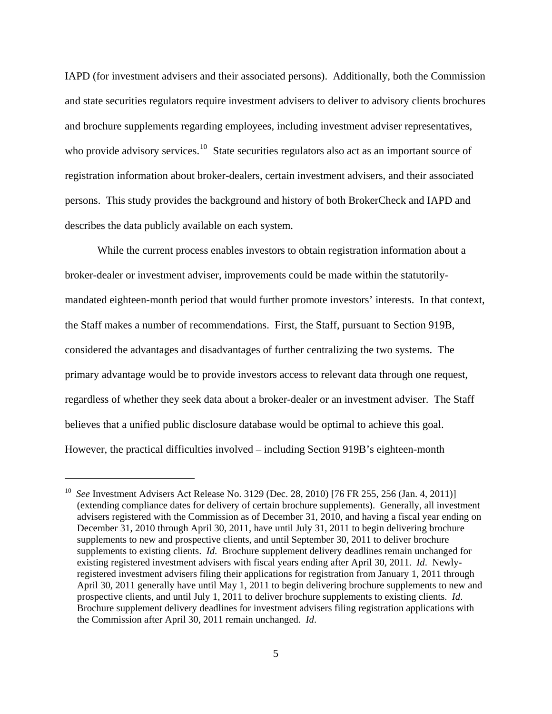IAPD (for investment advisers and their associated persons). Additionally, both the Commission and state securities regulators require investment advisers to deliver to advisory clients brochures and brochure supplements regarding employees, including investment adviser representatives, who provide advisory services.<sup>[10](#page-5-0)</sup> State securities regulators also act as an important source of registration information about broker-dealers, certain investment advisers, and their associated persons. This study provides the background and history of both BrokerCheck and IAPD and describes the data publicly available on each system.

While the current process enables investors to obtain registration information about a broker-dealer or investment adviser, improvements could be made within the statutorilymandated eighteen-month period that would further promote investors' interests. In that context, the Staff makes a number of recommendations. First, the Staff, pursuant to Section 919B, considered the advantages and disadvantages of further centralizing the two systems. The primary advantage would be to provide investors access to relevant data through one request, regardless of whether they seek data about a broker-dealer or an investment adviser. The Staff believes that a unified public disclosure database would be optimal to achieve this goal. However, the practical difficulties involved – including Section 919B's eighteen-month

-

<span id="page-5-0"></span><sup>10</sup> *See* Investment Advisers Act Release No. 3129 (Dec. 28, 2010) [76 FR 255, 256 (Jan. 4, 2011)] (extending compliance dates for delivery of certain brochure supplements). Generally, all investment advisers registered with the Commission as of December 31, 2010, and having a fiscal year ending on December 31, 2010 through April 30, 2011, have until July 31, 2011 to begin delivering brochure supplements to new and prospective clients, and until September 30, 2011 to deliver brochure supplements to existing clients. *Id*. Brochure supplement delivery deadlines remain unchanged for existing registered investment advisers with fiscal years ending after April 30, 2011. *Id*. Newlyregistered investment advisers filing their applications for registration from January 1, 2011 through April 30, 2011 generally have until May 1, 2011 to begin delivering brochure supplements to new and prospective clients, and until July 1, 2011 to deliver brochure supplements to existing clients. *Id*. Brochure supplement delivery deadlines for investment advisers filing registration applications with the Commission after April 30, 2011 remain unchanged. *Id*.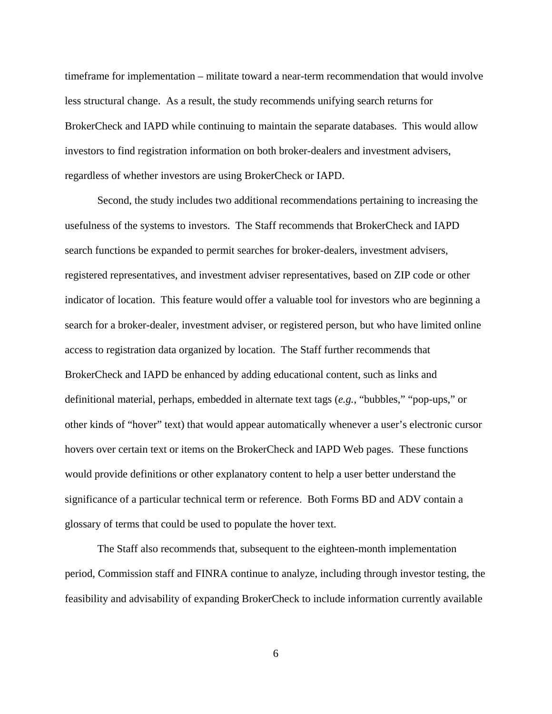timeframe for implementation – militate toward a near-term recommendation that would involve less structural change. As a result, the study recommends unifying search returns for BrokerCheck and IAPD while continuing to maintain the separate databases. This would allow investors to find registration information on both broker-dealers and investment advisers, regardless of whether investors are using BrokerCheck or IAPD.

Second, the study includes two additional recommendations pertaining to increasing the usefulness of the systems to investors. The Staff recommends that BrokerCheck and IAPD search functions be expanded to permit searches for broker-dealers, investment advisers, registered representatives, and investment adviser representatives, based on ZIP code or other indicator of location. This feature would offer a valuable tool for investors who are beginning a search for a broker-dealer, investment adviser, or registered person, but who have limited online access to registration data organized by location. The Staff further recommends that BrokerCheck and IAPD be enhanced by adding educational content, such as links and definitional material, perhaps, embedded in alternate text tags (*e.g.*, "bubbles," "pop-ups," or other kinds of "hover" text) that would appear automatically whenever a user's electronic cursor hovers over certain text or items on the BrokerCheck and IAPD Web pages. These functions would provide definitions or other explanatory content to help a user better understand the significance of a particular technical term or reference. Both Forms BD and ADV contain a glossary of terms that could be used to populate the hover text.

The Staff also recommends that, subsequent to the eighteen-month implementation period, Commission staff and FINRA continue to analyze, including through investor testing, the feasibility and advisability of expanding BrokerCheck to include information currently available

6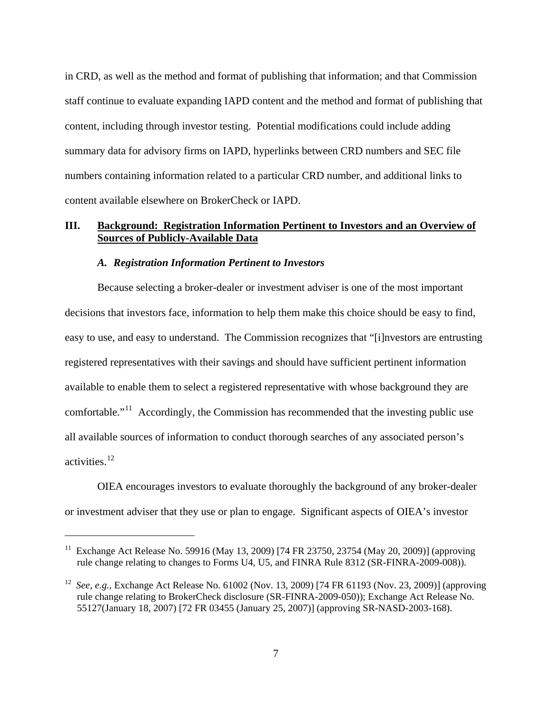in CRD, as well as the method and format of publishing that information; and that Commission staff continue to evaluate expanding IAPD content and the method and format of publishing that content, including through investor testing. Potential modifications could include adding summary data for advisory firms on IAPD, hyperlinks between CRD numbers and SEC file numbers containing information related to a particular CRD number, and additional links to content available elsewhere on BrokerCheck or IAPD.

# **III. Background: Registration Information Pertinent to Investors and an Overview of Sources of Publicly-Available Data**

#### *A. Registration Information Pertinent to Investors*

 $\overline{a}$ 

Because selecting a broker-dealer or investment adviser is one of the most important decisions that investors face, information to help them make this choice should be easy to find, easy to use, and easy to understand. The Commission recognizes that "[i]nvestors are entrusting registered representatives with their savings and should have sufficient pertinent information available to enable them to select a registered representative with whose background they are comfortable."<sup>[11](#page-7-0)</sup> Accordingly, the Commission has recommended that the investing public use all available sources of information to conduct thorough searches of any associated person's activities.[12](#page-7-1)

OIEA encourages investors to evaluate thoroughly the background of any broker-dealer or investment adviser that they use or plan to engage. Significant aspects of OIEA's investor

<span id="page-7-0"></span><sup>&</sup>lt;sup>11</sup> Exchange Act Release No. 59916 (May 13, 2009) [74 FR 23750, 23754 (May 20, 2009)] (approving rule change relating to changes to Forms U4, U5, and FINRA Rule 8312 (SR-FINRA-2009-008)).

<span id="page-7-1"></span><sup>12</sup> *See, e.g.,* Exchange Act Release No. 61002 (Nov. 13, 2009) [74 FR 61193 (Nov. 23, 2009)] (approving rule change relating to BrokerCheck disclosure (SR-FINRA-2009-050)); Exchange Act Release No. 55127(January 18, 2007) [72 FR 03455 (January 25, 2007)] (approving SR-NASD-2003-168).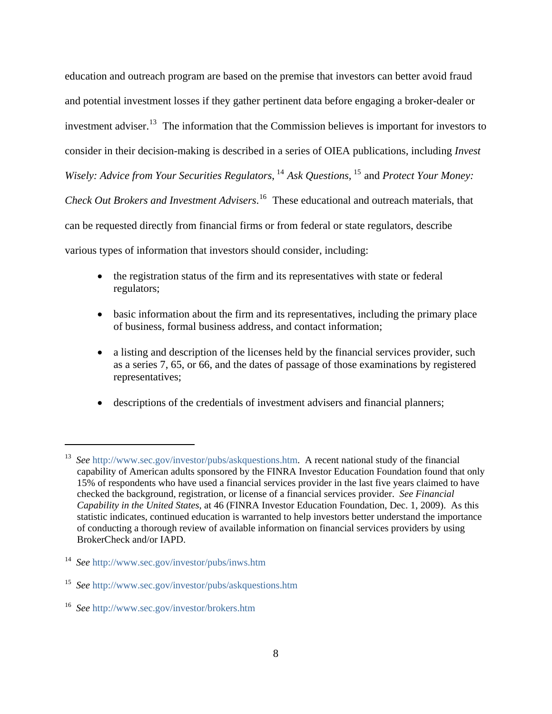education and outreach program are based on the premise that investors can better avoid fraud and potential investment losses if they gather pertinent data before engaging a broker-dealer or investment adviser.<sup>[13](#page-8-0)</sup> The information that the Commission believes is important for investors to consider in their decision-making is described in a series of OIEA publications, including *Invest Wisely: Advice from Your Securities Regulators*, <sup>[14](#page-8-1)</sup> Ask Questions, <sup>[15](#page-8-2)</sup> and *Protect Your Money: Check Out Brokers and Investment Advisers*. [16](#page-8-3) These educational and outreach materials, that can be requested directly from financial firms or from federal or state regulators, describe various types of information that investors should consider, including:

- the registration status of the firm and its representatives with state or federal regulators;
- basic information about the firm and its representatives, including the primary place of business, formal business address, and contact information;
- a listing and description of the licenses held by the financial services provider, such as a series 7, 65, or 66, and the dates of passage of those examinations by registered representatives;
- descriptions of the credentials of investment advisers and financial planners;

-

<span id="page-8-0"></span><sup>13</sup> *See* <http://www.sec.gov/investor/pubs/askquestions.htm>. A recent national study of the financial capability of American adults sponsored by the FINRA Investor Education Foundation found that only 15% of respondents who have used a financial services provider in the last five years claimed to have checked the background, registration, or license of a financial services provider. *See Financial Capability in the United States*, at 46 (FINRA Investor Education Foundation, Dec. 1, 2009). As this statistic indicates, continued education is warranted to help investors better understand the importance of conducting a thorough review of available information on financial services providers by using BrokerCheck and/or IAPD.

<span id="page-8-1"></span><sup>14</sup> *See* <http://www.sec.gov/investor/pubs/inws.htm>

<span id="page-8-2"></span><sup>15</sup> *See* <http://www.sec.gov/investor/pubs/askquestions.htm>

<span id="page-8-3"></span><sup>16</sup> *See* <http://www.sec.gov/investor/brokers.htm>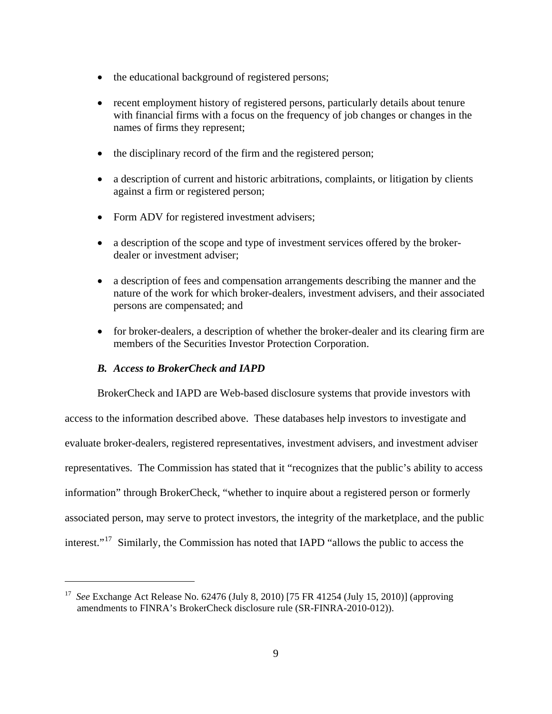- the educational background of registered persons;
- recent employment history of registered persons, particularly details about tenure with financial firms with a focus on the frequency of job changes or changes in the names of firms they represent;
- the disciplinary record of the firm and the registered person;
- a description of current and historic arbitrations, complaints, or litigation by clients against a firm or registered person;
- Form ADV for registered investment advisers;
- a description of the scope and type of investment services offered by the brokerdealer or investment adviser;
- a description of fees and compensation arrangements describing the manner and the nature of the work for which broker-dealers, investment advisers, and their associated persons are compensated; and
- for broker-dealers, a description of whether the broker-dealer and its clearing firm are members of the Securities Investor Protection Corporation.

## *B. Access to BrokerCheck and IAPD*

-

BrokerCheck and IAPD are Web-based disclosure systems that provide investors with access to the information described above. These databases help investors to investigate and evaluate broker-dealers, registered representatives, investment advisers, and investment adviser representatives. The Commission has stated that it "recognizes that the public's ability to access information" through BrokerCheck, "whether to inquire about a registered person or formerly associated person, may serve to protect investors, the integrity of the marketplace, and the public interest."<sup>[17](#page-9-0)</sup> Similarly, the Commission has noted that IAPD "allows the public to access the

<span id="page-9-0"></span><sup>17</sup> *See* Exchange Act Release No. 62476 (July 8, 2010) [75 FR 41254 (July 15, 2010)] (approving amendments to FINRA's BrokerCheck disclosure rule (SR-FINRA-2010-012)).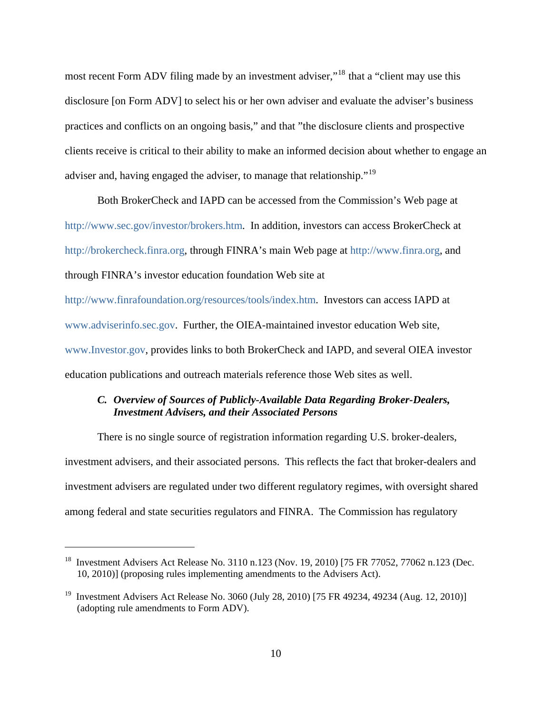most recent Form ADV filing made by an investment adviser,"<sup>[18](#page-10-0)</sup> that a "client may use this disclosure [on Form ADV] to select his or her own adviser and evaluate the adviser's business practices and conflicts on an ongoing basis," and that "the disclosure clients and prospective clients receive is critical to their ability to make an informed decision about whether to engage an adviser and, having engaged the adviser, to manage that relationship."[19](#page-10-1)

Both BrokerCheck and IAPD can be accessed from the Commission's Web page at [http://www.sec.gov/investor/brokers.htm.](http://www.sec.gov/investor/brokers.htm) In addition, investors can access BrokerCheck at [http://brokercheck.finra.org,](http://brokercheck.finra.org/) through FINRA's main Web page at [http://www.finra.org,](http://www.finra.org/) and through FINRA's investor education foundation Web site at

<http://www.finrafoundation.org/resources/tools/index.htm>. Investors can access IAPD at [www.adviserinfo.sec.gov](http://www.adviserinfo.sec.gov/). Further, the OIEA-maintained investor education Web site, [www.Investor.gov](http://www.investor.gov/), provides links to both BrokerCheck and IAPD, and several OIEA investor education publications and outreach materials reference those Web sites as well.

# *C. Overview of Sources of Publicly-Available Data Regarding Broker-Dealers, Investment Advisers, and their Associated Persons*

There is no single source of registration information regarding U.S. broker-dealers, investment advisers, and their associated persons. This reflects the fact that broker-dealers and investment advisers are regulated under two different regulatory regimes, with oversight shared among federal and state securities regulators and FINRA. The Commission has regulatory

<span id="page-10-0"></span><sup>&</sup>lt;sup>18</sup> Investment Advisers Act Release No. 3110 n.123 (Nov. 19, 2010) [75 FR 77052, 77062 n.123 (Dec. 10, 2010)] (proposing rules implementing amendments to the Advisers Act).

<span id="page-10-1"></span><sup>&</sup>lt;sup>19</sup> Investment Advisers Act Release No. 3060 (July 28, 2010) [75 FR 49234, 49234 (Aug. 12, 2010)] (adopting rule amendments to Form ADV).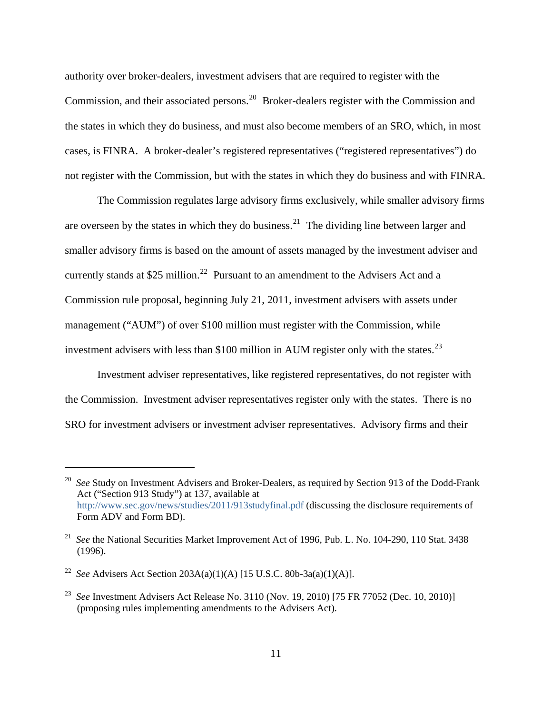authority over broker-dealers, investment advisers that are required to register with the Commission, and their associated persons.<sup>[20](#page-11-0)</sup> Broker-dealers register with the Commission and the states in which they do business, and must also become members of an SRO, which, in most cases, is FINRA. A broker-dealer's registered representatives ("registered representatives") do not register with the Commission, but with the states in which they do business and with FINRA.

The Commission regulates large advisory firms exclusively, while smaller advisory firms are overseen by the states in which they do business.<sup>[21](#page-11-1)</sup> The dividing line between larger and smaller advisory firms is based on the amount of assets managed by the investment adviser and currently stands at \$25 million.<sup>[22](#page-11-2)</sup> Pursuant to an amendment to the Advisers Act and a Commission rule proposal, beginning July 21, 2011, investment advisers with assets under management ("AUM") of over \$100 million must register with the Commission, while investment advisers with less than \$100 million in AUM register only with the states.<sup>[23](#page-11-3)</sup>

Investment adviser representatives, like registered representatives, do not register with the Commission. Investment adviser representatives register only with the states. There is no SRO for investment advisers or investment adviser representatives. Advisory firms and their

<span id="page-11-0"></span><sup>&</sup>lt;sup>20</sup> *See* Study on Investment Advisers and Broker-Dealers, as required by Section 913 of the Dodd-Frank Act ("Section 913 Study") at 137, available at <http://www.sec.gov/news/studies/2011/913studyfinal.pdf>(discussing the disclosure requirements of Form ADV and Form BD).

<span id="page-11-1"></span><sup>&</sup>lt;sup>21</sup> *See* the National Securities Market Improvement Act of 1996, Pub. L. No. 104-290, 110 Stat. 3438 (1996).

<span id="page-11-2"></span><sup>22</sup> *See* Advisers Act Section 203A(a)(1)(A) [15 U.S.C. 80b-3a(a)(1)(A)].

<span id="page-11-3"></span><sup>23</sup> *See* Investment Advisers Act Release No. 3110 (Nov. 19, 2010) [75 FR 77052 (Dec. 10, 2010)] (proposing rules implementing amendments to the Advisers Act).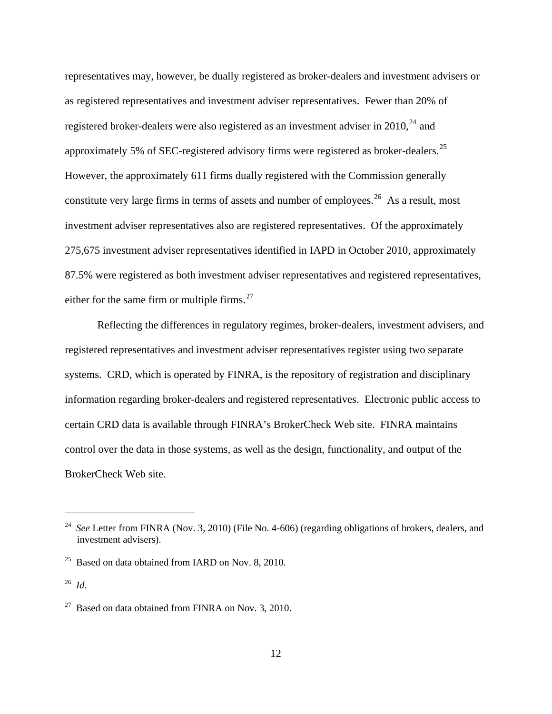representatives may, however, be dually registered as broker-dealers and investment advisers or as registered representatives and investment adviser representatives. Fewer than 20% of registered broker-dealers were also registered as an investment adviser in  $2010$ ,  $^{24}$  $^{24}$  $^{24}$  and approximately 5% of SEC-registered advisory firms were registered as broker-dealers.<sup>[25](#page-12-1)</sup> However, the approximately 611 firms dually registered with the Commission generally constitute very large firms in terms of assets and number of employees.<sup>[26](#page-12-2)</sup> As a result, most investment adviser representatives also are registered representatives. Of the approximately 275,675 investment adviser representatives identified in IAPD in October 2010, approximately 87.5% were registered as both investment adviser representatives and registered representatives, either for the same firm or multiple firms. $27$ 

Reflecting the differences in regulatory regimes, broker-dealers, investment advisers, and registered representatives and investment adviser representatives register using two separate systems. CRD, which is operated by FINRA, is the repository of registration and disciplinary information regarding broker-dealers and registered representatives. Electronic public access to certain CRD data is available through FINRA's BrokerCheck Web site. FINRA maintains control over the data in those systems, as well as the design, functionality, and output of the BrokerCheck Web site.

<span id="page-12-0"></span><sup>&</sup>lt;sup>24</sup> *See* Letter from FINRA (Nov. 3, 2010) (File No. 4-606) (regarding obligations of brokers, dealers, and investment advisers).

<span id="page-12-1"></span> $25$  Based on data obtained from IARD on Nov. 8, 2010.

<span id="page-12-2"></span><sup>26</sup> *Id*.

<span id="page-12-3"></span> $27$  Based on data obtained from FINRA on Nov. 3, 2010.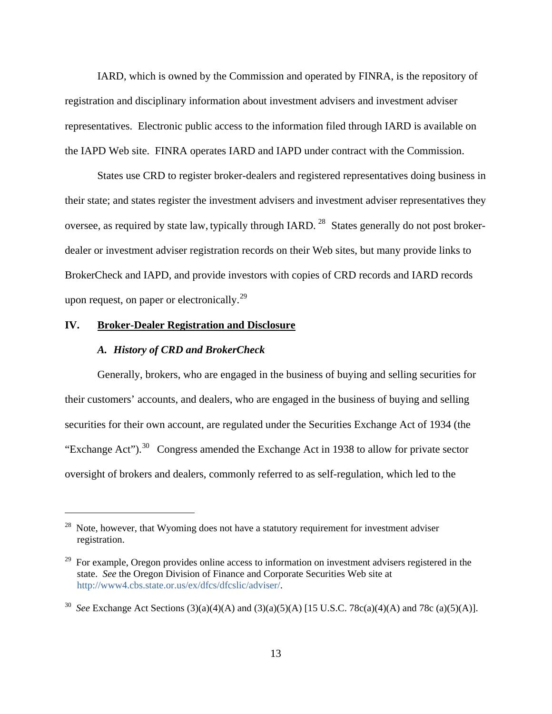IARD, which is owned by the Commission and operated by FINRA, is the repository of registration and disciplinary information about investment advisers and investment adviser representatives. Electronic public access to the information filed through IARD is available on the IAPD Web site. FINRA operates IARD and IAPD under contract with the Commission.

States use CRD to register broker-dealers and registered representatives doing business in their state; and states register the investment advisers and investment adviser representatives they oversee, as required by state law, typically through IARD. [28](#page-13-0) States generally do not post brokerdealer or investment adviser registration records on their Web sites, but many provide links to BrokerCheck and IAPD, and provide investors with copies of CRD records and IARD records upon request, on paper or electronically.<sup>[29](#page-13-1)</sup>

## **IV. Broker-Dealer Registration and Disclosure**

### *A. History of CRD and BrokerCheck*

 $\overline{a}$ 

Generally, brokers, who are engaged in the business of buying and selling securities for their customers' accounts, and dealers, who are engaged in the business of buying and selling securities for their own account, are regulated under the Securities Exchange Act of 1934 (the "Exchange Act").<sup>[30](#page-13-2)</sup> Congress amended the Exchange Act in 1938 to allow for private sector oversight of brokers and dealers, commonly referred to as self-regulation, which led to the

<span id="page-13-0"></span><sup>&</sup>lt;sup>28</sup> Note, however, that Wyoming does not have a statutory requirement for investment adviser registration.

<span id="page-13-1"></span><sup>&</sup>lt;sup>29</sup> For example, Oregon provides online access to information on investment advisers registered in the state. *See* the Oregon Division of Finance and Corporate Securities Web site at [http://www4.cbs.state.or.us/ex/dfcs/dfcslic/adviser/.](http://www4.cbs.state.or.us/ex/dfcs/dfcslic/adviser/)

<span id="page-13-2"></span><sup>30</sup> *See* Exchange Act Sections (3)(a)(4)(A) and (3)(a)(5)(A) [15 U.S.C. 78c(a)(4)(A) and 78c (a)(5)(A)].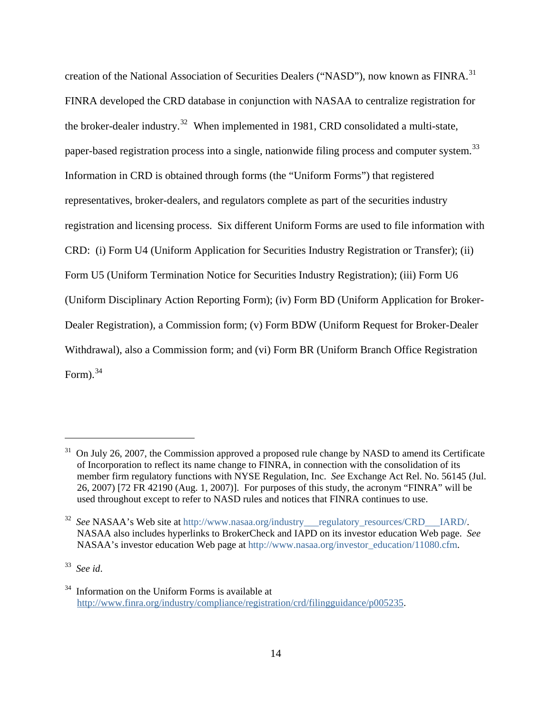creation of the National Association of Securities Dealers ("NASD"), now known as FINRA.<sup>[31](#page-14-0)</sup> FINRA developed the CRD database in conjunction with NASAA to centralize registration for the broker-dealer industry.<sup>[32](#page-14-1)</sup> When implemented in 1981, CRD consolidated a multi-state, paper-based registration process into a single, nationwide filing process and computer system.<sup>[33](#page-14-2)</sup> Information in CRD is obtained through forms (the "Uniform Forms") that registered representatives, broker-dealers, and regulators complete as part of the securities industry registration and licensing process. Six different Uniform Forms are used to file information with CRD: (i) Form U4 (Uniform Application for Securities Industry Registration or Transfer); (ii) Form U5 (Uniform Termination Notice for Securities Industry Registration); (iii) Form U6 (Uniform Disciplinary Action Reporting Form); (iv) Form BD (Uniform Application for Broker-Dealer Registration), a Commission form; (v) Form BDW (Uniform Request for Broker-Dealer Withdrawal), also a Commission form; and (vi) Form BR (Uniform Branch Office Registration Form). $34$ 

<span id="page-14-2"></span>33 *See id*.

<span id="page-14-0"></span><sup>&</sup>lt;sup>31</sup> On July 26, 2007, the Commission approved a proposed rule change by NASD to amend its Certificate of Incorporation to reflect its name change to FINRA, in connection with the consolidation of its member firm regulatory functions with NYSE Regulation, Inc. *See* Exchange Act Rel. No. 56145 (Jul. 26, 2007) [72 FR 42190 (Aug. 1, 2007)]. For purposes of this study, the acronym "FINRA" will be used throughout except to refer to NASD rules and notices that FINRA continues to use.

<span id="page-14-1"></span><sup>&</sup>lt;sup>32</sup> See NASAA's Web site at http://www.nasaa.org/industry\_\_regulatory\_resources/CRD\_\_IARD/. NASAA also includes hyperlinks to BrokerCheck and IAPD on its investor education Web page. *See* NASAA's investor education Web page at [http://www.nasaa.org/investor\\_education/11080.cfm](http://www.nasaa.org/investor_education/11080.cfm).

<span id="page-14-3"></span><sup>&</sup>lt;sup>34</sup> Information on the Uniform Forms is available at [http://www.finra.org/industry/compliance/registration/crd/filingguidance/p005235.](http://www.finra.org/industry/compliance/registration/crd/filingguidance/p005235)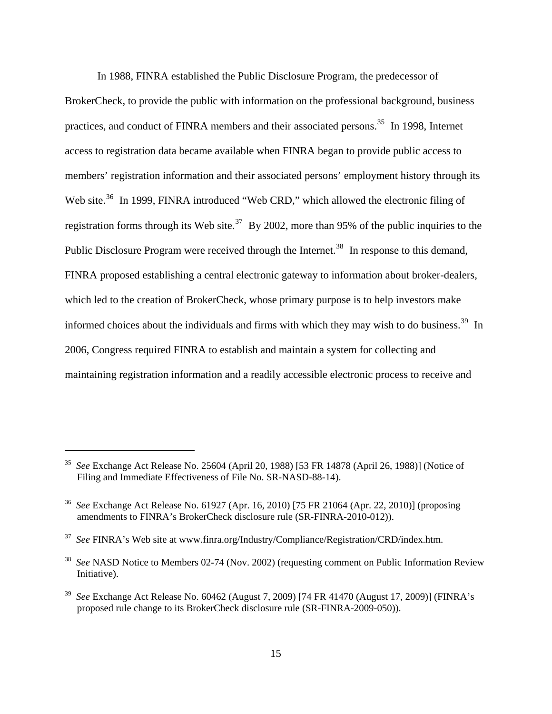In 1988, FINRA established the Public Disclosure Program, the predecessor of BrokerCheck, to provide the public with information on the professional background, business practices, and conduct of FINRA members and their associated persons.<sup>[35](#page-15-0)</sup> In 1998, Internet access to registration data became available when FINRA began to provide public access to members' registration information and their associated persons' employment history through its Web site.<sup>[36](#page-15-1)</sup> In 1999, FINRA introduced "Web CRD," which allowed the electronic filing of registration forms through its Web site.<sup>[37](#page-15-2)</sup> By 2002, more than 95% of the public inquiries to the Public Disclosure Program were received through the Internet.<sup>[38](#page-15-3)</sup> In response to this demand, FINRA proposed establishing a central electronic gateway to information about broker-dealers, which led to the creation of BrokerCheck, whose primary purpose is to help investors make informed choices about the individuals and firms with which they may wish to do business.<sup>[39](#page-15-4)</sup> In 2006, Congress required FINRA to establish and maintain a system for collecting and maintaining registration information and a readily accessible electronic process to receive and

<span id="page-15-0"></span><sup>35</sup> *See* Exchange Act Release No. 25604 (April 20, 1988) [53 FR 14878 (April 26, 1988)] (Notice of Filing and Immediate Effectiveness of File No. SR-NASD-88-14).

<span id="page-15-1"></span><sup>36</sup> *See* Exchange Act Release No. 61927 (Apr. 16, 2010) [75 FR 21064 (Apr. 22, 2010)] (proposing amendments to FINRA's BrokerCheck disclosure rule (SR-FINRA-2010-012)).

<span id="page-15-2"></span><sup>37</sup> *See* FINRA's Web site at www.finra.org/Industry/Compliance/Registration/CRD/index.htm.

<span id="page-15-3"></span><sup>&</sup>lt;sup>38</sup> *See* NASD Notice to Members 02-74 (Nov. 2002) (requesting comment on Public Information Review Initiative).

<span id="page-15-4"></span><sup>39</sup> *See* Exchange Act Release No. 60462 (August 7, 2009) [74 FR 41470 (August 17, 2009)] (FINRA's proposed rule change to its BrokerCheck disclosure rule (SR-FINRA-2009-050)).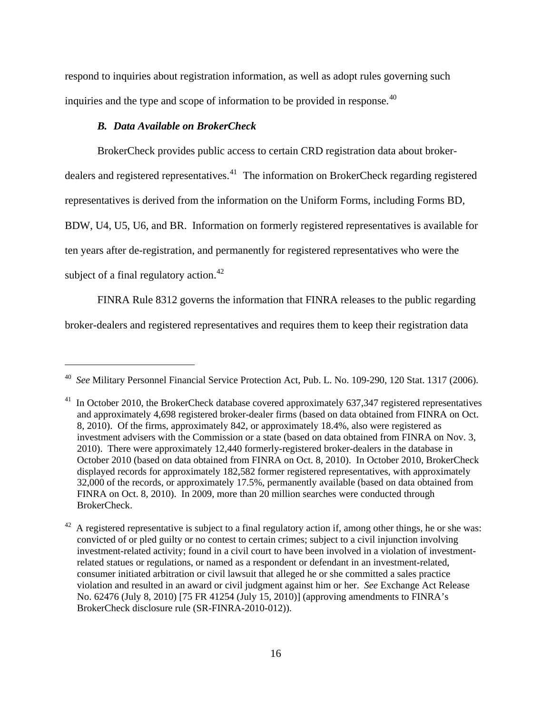respond to inquiries about registration information, as well as adopt rules governing such inquiries and the type and scope of information to be provided in response.<sup>[40](#page-16-0)</sup>

## *B. Data Available on BrokerCheck*

 $\overline{a}$ 

BrokerCheck provides public access to certain CRD registration data about broker-dealers and registered representatives.<sup>[41](#page-16-1)</sup> The information on BrokerCheck regarding registered representatives is derived from the information on the Uniform Forms, including Forms BD, BDW, U4, U5, U6, and BR. Information on formerly registered representatives is available for ten years after de-registration, and permanently for registered representatives who were the subject of a final regulatory action.<sup>[42](#page-16-2)</sup>

FINRA Rule 8312 governs the information that FINRA releases to the public regarding broker-dealers and registered representatives and requires them to keep their registration data

<span id="page-16-0"></span><sup>40</sup> *See* Military Personnel Financial Service Protection Act, Pub. L. No. 109-290, 120 Stat. 1317 (2006).

<span id="page-16-1"></span><sup>&</sup>lt;sup>41</sup> In October 2010, the BrokerCheck database covered approximately 637,347 registered representatives and approximately 4,698 registered broker-dealer firms (based on data obtained from FINRA on Oct. 8, 2010). Of the firms, approximately 842, or approximately 18.4%, also were registered as investment advisers with the Commission or a state (based on data obtained from FINRA on Nov. 3, 2010). There were approximately 12,440 formerly-registered broker-dealers in the database in October 2010 (based on data obtained from FINRA on Oct. 8, 2010). In October 2010, BrokerCheck displayed records for approximately 182,582 former registered representatives, with approximately 32,000 of the records, or approximately 17.5%, permanently available (based on data obtained from FINRA on Oct. 8, 2010). In 2009, more than 20 million searches were conducted through BrokerCheck.

<span id="page-16-2"></span> $42$  A registered representative is subject to a final regulatory action if, among other things, he or she was: convicted of or pled guilty or no contest to certain crimes; subject to a civil injunction involving investment-related activity; found in a civil court to have been involved in a violation of investmentrelated statues or regulations, or named as a respondent or defendant in an investment-related, consumer initiated arbitration or civil lawsuit that alleged he or she committed a sales practice violation and resulted in an award or civil judgment against him or her. *See* Exchange Act Release No. 62476 (July 8, 2010) [75 FR 41254 (July 15, 2010)] (approving amendments to FINRA's BrokerCheck disclosure rule (SR-FINRA-2010-012)).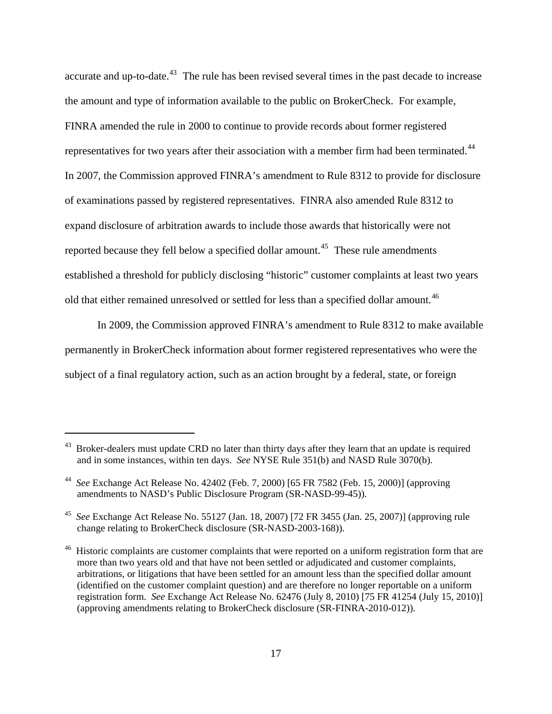accurate and up-to-date.<sup>[43](#page-17-0)</sup> The rule has been revised several times in the past decade to increase the amount and type of information available to the public on BrokerCheck. For example, FINRA amended the rule in 2000 to continue to provide records about former registered representatives for two years after their association with a member firm had been terminated.<sup>[44](#page-17-1)</sup> In 2007, the Commission approved FINRA's amendment to Rule 8312 to provide for disclosure of examinations passed by registered representatives. FINRA also amended Rule 8312 to expand disclosure of arbitration awards to include those awards that historically were not reported because they fell below a specified dollar amount.<sup>[45](#page-17-2)</sup> These rule amendments established a threshold for publicly disclosing "historic" customer complaints at least two years old that either remained unresolved or settled for less than a specified dollar amount.<sup>[46](#page-17-3)</sup>

In 2009, the Commission approved FINRA's amendment to Rule 8312 to make available permanently in BrokerCheck information about former registered representatives who were the subject of a final regulatory action, such as an action brought by a federal, state, or foreign

<span id="page-17-0"></span><sup>&</sup>lt;sup>43</sup> Broker-dealers must update CRD no later than thirty days after they learn that an update is required and in some instances, within ten days. *See* NYSE Rule 351(b) and NASD Rule 3070(b).

<span id="page-17-1"></span><sup>44</sup> *See* Exchange Act Release No. 42402 (Feb. 7, 2000) [65 FR 7582 (Feb. 15, 2000)] (approving amendments to NASD's Public Disclosure Program (SR-NASD-99-45)).

<span id="page-17-2"></span><sup>45</sup> *See* Exchange Act Release No. 55127 (Jan. 18, 2007) [72 FR 3455 (Jan. 25, 2007)] (approving rule change relating to BrokerCheck disclosure (SR-NASD-2003-168)).

<span id="page-17-3"></span><sup>&</sup>lt;sup>46</sup> Historic complaints are customer complaints that were reported on a uniform registration form that are more than two years old and that have not been settled or adjudicated and customer complaints, arbitrations, or litigations that have been settled for an amount less than the specified dollar amount (identified on the customer complaint question) and are therefore no longer reportable on a uniform registration form. *See* Exchange Act Release No. 62476 (July 8, 2010) [75 FR 41254 (July 15, 2010)] (approving amendments relating to BrokerCheck disclosure (SR-FINRA-2010-012)).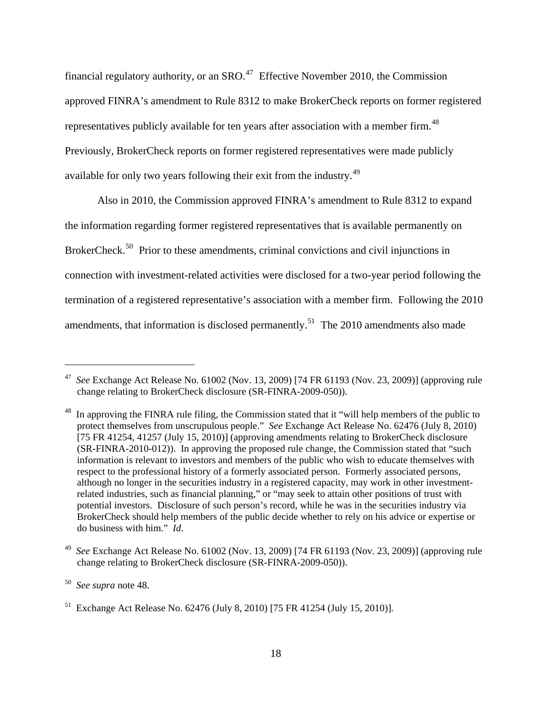financial regulatory authority, or an SRO.<sup>[47](#page-18-0)</sup> Effective November 2010, the Commission approved FINRA's amendment to Rule 8312 to make BrokerCheck reports on former registered representatives publicly available for ten years after association with a member firm.<sup>[48](#page-18-1)</sup> Previously, BrokerCheck reports on former registered representatives were made publicly available for only two years following their exit from the industry.<sup>[49](#page-18-2)</sup>

Also in 2010, the Commission approved FINRA's amendment to Rule 8312 to expand the information regarding former registered representatives that is available permanently on BrokerCheck.<sup>[50](#page-18-3)</sup> Prior to these amendments, criminal convictions and civil injunctions in connection with investment-related activities were disclosed for a two-year period following the termination of a registered representative's association with a member firm. Following the 2010 amendments, that information is disclosed permanently.<sup>[51](#page-18-4)</sup> The 2010 amendments also made

<span id="page-18-0"></span><sup>47</sup> *See* Exchange Act Release No. 61002 (Nov. 13, 2009) [74 FR 61193 (Nov. 23, 2009)] (approving rule change relating to BrokerCheck disclosure (SR-FINRA-2009-050)).

<span id="page-18-1"></span>In approving the FINRA rule filing, the Commission stated that it "will help members of the public to protect themselves from unscrupulous people." *See* Exchange Act Release No. 62476 (July 8, 2010) [75 FR 41254, 41257 (July 15, 2010)] (approving amendments relating to BrokerCheck disclosure (SR-FINRA-2010-012)). In approving the proposed rule change, the Commission stated that "such information is relevant to investors and members of the public who wish to educate themselves with respect to the professional history of a formerly associated person. Formerly associated persons, although no longer in the securities industry in a registered capacity, may work in other investmentrelated industries, such as financial planning," or "may seek to attain other positions of trust with potential investors. Disclosure of such person's record, while he was in the securities industry via BrokerCheck should help members of the public decide whether to rely on his advice or expertise or do business with him." *Id*.

<span id="page-18-2"></span><sup>49</sup> *See* Exchange Act Release No. 61002 (Nov. 13, 2009) [74 FR 61193 (Nov. 23, 2009)] (approving rule change relating to BrokerCheck disclosure (SR-FINRA-2009-050)).

<span id="page-18-3"></span><sup>50</sup> *See supra* note 48.

<span id="page-18-4"></span><sup>51</sup> Exchange Act Release No. 62476 (July 8, 2010) [75 FR 41254 (July 15, 2010)].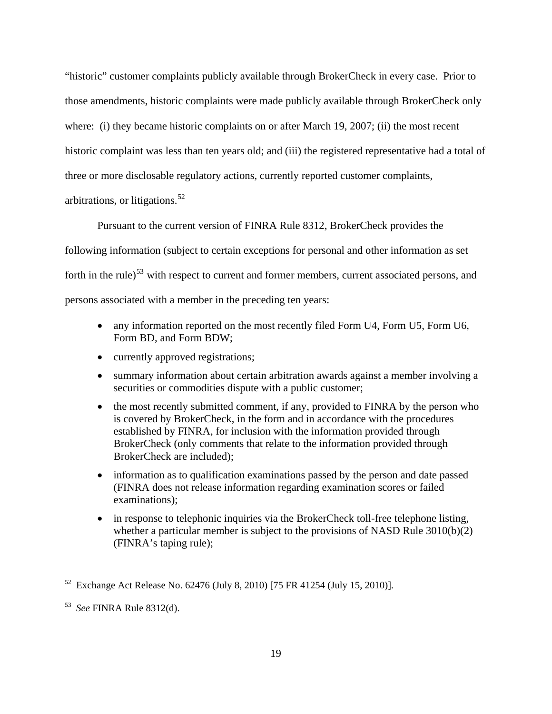"historic" customer complaints publicly available through BrokerCheck in every case. Prior to those amendments, historic complaints were made publicly available through BrokerCheck only where: (i) they became historic complaints on or after March 19, 2007; (ii) the most recent historic complaint was less than ten years old; and (iii) the registered representative had a total of three or more disclosable regulatory actions, currently reported customer complaints, arbitrations, or litigations.<sup>[52](#page-19-0)</sup>

Pursuant to the current version of FINRA Rule 8312, BrokerCheck provides the following information (subject to certain exceptions for personal and other information as set forth in the rule)<sup>[53](#page-19-1)</sup> with respect to current and former members, current associated persons, and persons associated with a member in the preceding ten years:

- any information reported on the most recently filed Form U4, Form U5, Form U6, Form BD, and Form BDW;
- currently approved registrations;
- summary information about certain arbitration awards against a member involving a securities or commodities dispute with a public customer;
- the most recently submitted comment, if any, provided to FINRA by the person who is covered by BrokerCheck, in the form and in accordance with the procedures established by FINRA, for inclusion with the information provided through BrokerCheck (only comments that relate to the information provided through BrokerCheck are included);
- information as to qualification examinations passed by the person and date passed (FINRA does not release information regarding examination scores or failed examinations);
- in response to telephonic inquiries via the BrokerCheck toll-free telephone listing, whether a particular member is subject to the provisions of [NASD Rule 3010\(](http://finra.complinet.com/en/display/display.html?rbid=2403&element_id=3717)b)(2) (FINRA's taping rule);

<span id="page-19-0"></span><sup>52</sup> Exchange Act Release No. 62476 (July 8, 2010) [75 FR 41254 (July 15, 2010)].

<span id="page-19-1"></span><sup>53</sup> *See* FINRA Rule 8312(d).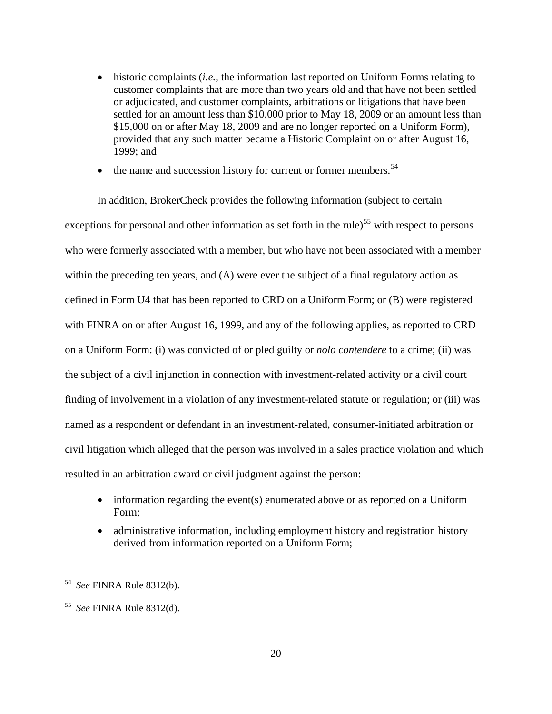- historic complaints *(i.e., the information last reported on Uniform Forms relating to* customer complaints that are more than two years old and that have not been settled or adjudicated, and customer complaints, arbitrations or litigations that have been settled for an amount less than \$10,000 prior to May 18, 2009 or an amount less than \$15,000 on or after May 18, 2009 and are no longer reported on a Uniform Form), provided that any such matter became a Historic Complaint on or after August 16, 1999; and
- the name and succession history for current or former members.<sup>[54](#page-20-0)</sup>

In addition, BrokerCheck provides the following information (subject to certain exceptions for personal and other information as set forth in the rule)<sup>[55](#page-20-1)</sup> with respect to persons who were formerly associated with a member, but who have not been associated with a member within the preceding ten years, and (A) were ever the subject of a final regulatory action as defined in Form U4 that has been reported to CRD on a Uniform Form; or (B) were registered with FINRA on or after August 16, 1999, and any of the following applies, as reported to CRD on a Uniform Form: (i) was convicted of or pled guilty or *nolo contendere* to a crime; (ii) was the subject of a civil injunction in connection with investment-related activity or a civil court finding of involvement in a violation of any investment-related statute or regulation; or (iii) was named as a respondent or defendant in an investment-related, consumer-initiated arbitration or civil litigation which alleged that the person was involved in a sales practice violation and which resulted in an arbitration award or civil judgment against the person:

- information regarding the event(s) enumerated above or as reported on a Uniform Form;
- administrative information, including employment history and registration history derived from information reported on a Uniform Form;

<span id="page-20-0"></span><sup>54</sup> *See* FINRA Rule 8312(b).

<span id="page-20-1"></span><sup>55</sup> *See* FINRA Rule 8312(d).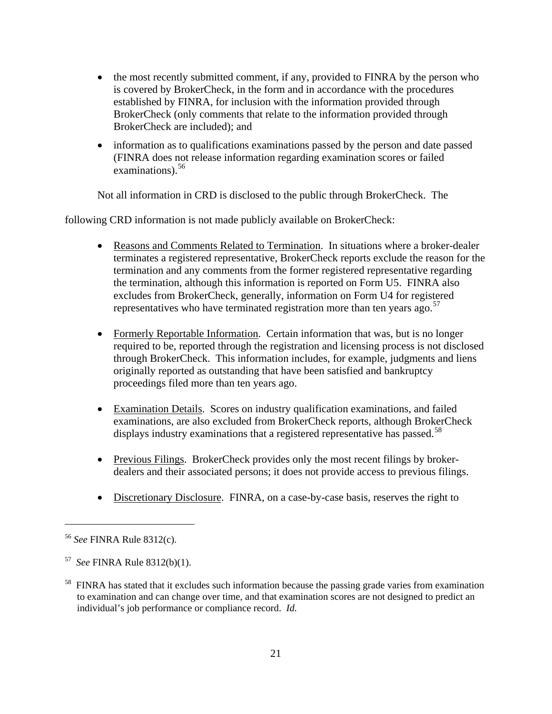- the most recently submitted comment, if any, provided to FINRA by the person who is covered by BrokerCheck, in the form and in accordance with the procedures established by FINRA, for inclusion with the information provided through BrokerCheck (only comments that relate to the information provided through BrokerCheck are included); and
- information as to qualifications examinations passed by the person and date passed (FINRA does not release information regarding examination scores or failed examinations). $56$

Not all information in CRD is disclosed to the public through BrokerCheck. The

following CRD information is not made publicly available on BrokerCheck:

- Reasons and Comments Related to Termination. In situations where a broker-dealer terminates a registered representative, BrokerCheck reports exclude the reason for the termination and any comments from the former registered representative regarding the termination, although this information is reported on Form U5. FINRA also excludes from BrokerCheck, generally, information on Form U4 for registered representatives who have terminated registration more than ten years ago. $57$
- Formerly Reportable Information. Certain information that was, but is no longer required to be, reported through the registration and licensing process is not disclosed through BrokerCheck. This information includes, for example, judgments and liens originally reported as outstanding that have been satisfied and bankruptcy proceedings filed more than ten years ago.
- Examination Details. Scores on industry qualification examinations, and failed examinations, are also excluded from BrokerCheck reports, although BrokerCheck displays industry examinations that a registered representative has passed.<sup>[58](#page-21-2)</sup>
- Previous Filings. BrokerCheck provides only the most recent filings by brokerdealers and their associated persons; it does not provide access to previous filings.
- Discretionary Disclosure. FINRA, on a case-by-case basis, reserves the right to

<span id="page-21-0"></span><sup>56</sup> *See* FINRA Rule 8312(c).

<span id="page-21-1"></span><sup>57</sup> *See* FINRA Rule 8312(b)(1).

<span id="page-21-2"></span><sup>&</sup>lt;sup>58</sup> FINRA has stated that it excludes such information because the passing grade varies from examination to examination and can change over time, and that examination scores are not designed to predict an individual's job performance or compliance record. *Id.*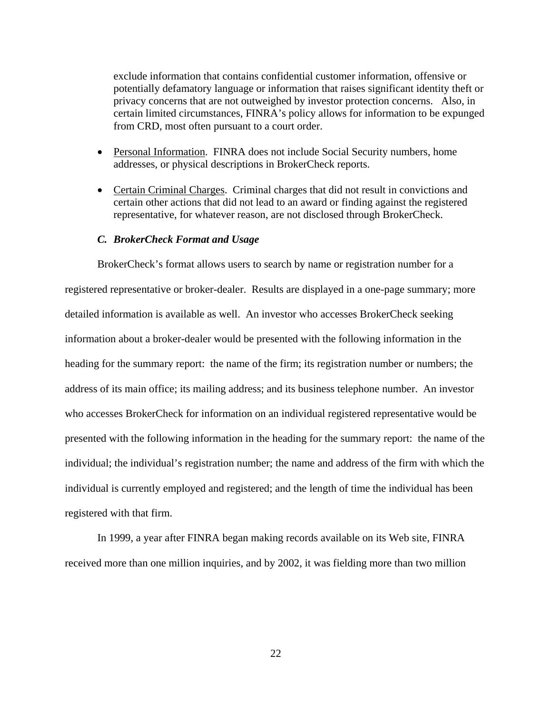exclude information that contains confidential customer information, offensive or potentially defamatory language or information that raises significant identity theft or privacy concerns that are not outweighed by investor protection concerns. Also, in certain limited circumstances, FINRA's policy allows for information to be expunged from CRD, most often pursuant to a court order.

- Personal Information. FINRA does not include Social Security numbers, home addresses, or physical descriptions in BrokerCheck reports.
- Certain Criminal Charges. Criminal charges that did not result in convictions and certain other actions that did not lead to an award or finding against the registered representative, for whatever reason, are not disclosed through BrokerCheck.

#### *C. BrokerCheck Format and Usage*

BrokerCheck's format allows users to search by name or registration number for a registered representative or broker-dealer. Results are displayed in a one-page summary; more detailed information is available as well. An investor who accesses BrokerCheck seeking information about a broker-dealer would be presented with the following information in the heading for the summary report: the name of the firm; its registration number or numbers; the address of its main office; its mailing address; and its business telephone number. An investor who accesses BrokerCheck for information on an individual registered representative would be presented with the following information in the heading for the summary report: the name of the individual; the individual's registration number; the name and address of the firm with which the individual is currently employed and registered; and the length of time the individual has been registered with that firm.

In 1999, a year after FINRA began making records available on its Web site, FINRA received more than one million inquiries, and by 2002, it was fielding more than two million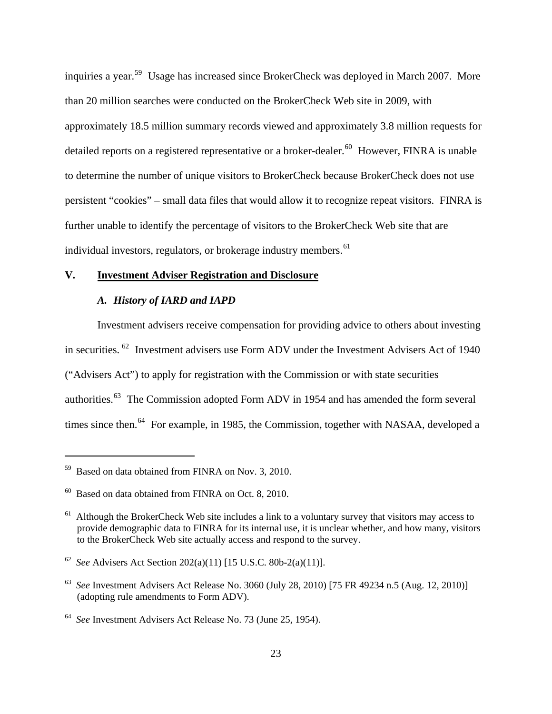inquiries a year.<sup>[59](#page-23-0)</sup> Usage has increased since BrokerCheck was deployed in March 2007. More than 20 million searches were conducted on the BrokerCheck Web site in 2009, with approximately 18.5 million summary records viewed and approximately 3.8 million requests for detailed reports on a registered representative or a broker-dealer.<sup>[60](#page-23-1)</sup> However, FINRA is unable to determine the number of unique visitors to BrokerCheck because BrokerCheck does not use persistent "cookies" – small data files that would allow it to recognize repeat visitors. FINRA is further unable to identify the percentage of visitors to the BrokerCheck Web site that are individual investors, regulators, or brokerage industry members.<sup>[61](#page-23-2)</sup>

## **V. Investment Adviser Registration and Disclosure**

## *A. History of IARD and IAPD*

Investment advisers receive compensation for providing advice to others about investing in securities. [62](#page-23-3) Investment advisers use Form ADV under the Investment Advisers Act of 1940 ("Advisers Act") to apply for registration with the Commission or with state securities authorities.[63](#page-23-4) The Commission adopted Form ADV in 1954 and has amended the form several times since then.<sup>[64](#page-23-5)</sup> For example, in 1985, the Commission, together with NASAA, developed a

<span id="page-23-0"></span><sup>59</sup> Based on data obtained from FINRA on Nov. 3, 2010.

<span id="page-23-1"></span> $60$  Based on data obtained from FINRA on Oct. 8, 2010.

<span id="page-23-2"></span> $61$  Although the BrokerCheck Web site includes a link to a voluntary survey that visitors may access to provide demographic data to FINRA for its internal use, it is unclear whether, and how many, visitors to the BrokerCheck Web site actually access and respond to the survey.

<span id="page-23-3"></span><sup>62</sup> *See* Advisers Act Section 202(a)(11) [15 U.S.C. 80b-2(a)(11)].

<span id="page-23-4"></span><sup>63</sup> *See* Investment Advisers Act Release No. 3060 (July 28, 2010) [75 FR 49234 n.5 (Aug. 12, 2010)] (adopting rule amendments to Form ADV).

<span id="page-23-5"></span><sup>64</sup> *See* Investment Advisers Act Release No. 73 (June 25, 1954).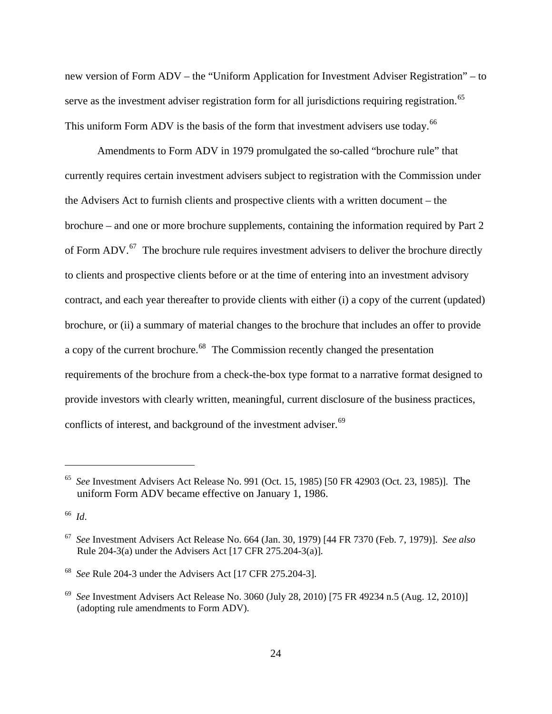new version of Form ADV – the "Uniform Application for Investment Adviser Registration" – to serve as the investment adviser registration form for all jurisdictions requiring registration.<sup>[65](#page-24-0)</sup> This uniform Form ADV is the basis of the form that investment advisers use today.<sup>[66](#page-24-1)</sup>

Amendments to Form ADV in 1979 promulgated the so-called "brochure rule" that currently requires certain investment advisers subject to registration with the Commission under the Advisers Act to furnish clients and prospective clients with a written document – the brochure – and one or more brochure supplements, containing the information required by Part 2 of Form ADV.<sup>[67](#page-24-2)</sup> The brochure rule requires investment advisers to deliver the brochure directly to clients and prospective clients before or at the time of entering into an investment advisory contract, and each year thereafter to provide clients with either (i) a copy of the current (updated) brochure, or (ii) a summary of material changes to the brochure that includes an offer to provide a copy of the current brochure.<sup>[68](#page-24-3)</sup> The Commission recently changed the presentation requirements of the brochure from a check-the-box type format to a narrative format designed to provide investors with clearly written, meaningful, current disclosure of the business practices, conflicts of interest, and background of the investment adviser.<sup>[69](#page-24-4)</sup>

<span id="page-24-0"></span><sup>65</sup> *See* Investment Advisers Act Release No. 991 (Oct. 15, 1985) [50 FR 42903 (Oct. 23, 1985)]. The uniform Form ADV became effective on January 1, 1986.

<span id="page-24-1"></span><sup>66</sup> *Id*.

<span id="page-24-2"></span><sup>67</sup> *See* Investment Advisers Act Release No. 664 (Jan. 30, 1979) [44 FR 7370 (Feb. 7, 1979)]. *See also* Rule 204-3(a) under the Advisers Act [17 CFR 275.204-3(a)].

<span id="page-24-3"></span><sup>68</sup> *See* Rule 204-3 under the Advisers Act [17 CFR 275.204-3].

<span id="page-24-4"></span><sup>69</sup> *See* Investment Advisers Act Release No. 3060 (July 28, 2010) [75 FR 49234 n.5 (Aug. 12, 2010)] (adopting rule amendments to Form ADV).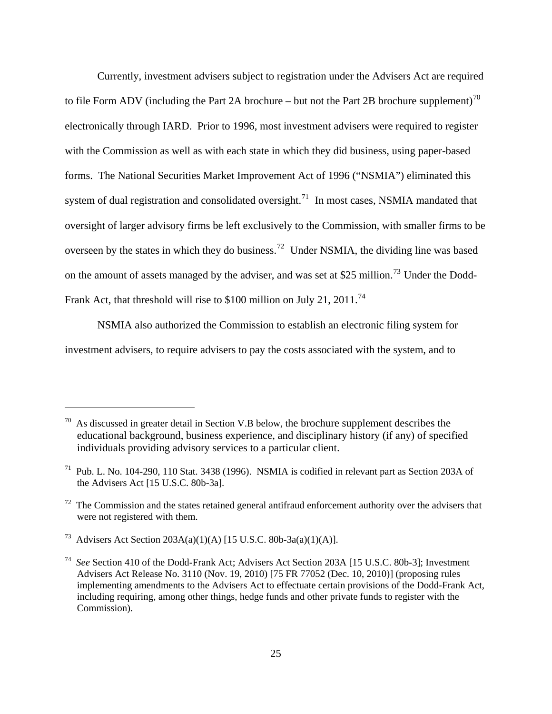Currently, investment advisers subject to registration under the Advisers Act are required to file Form ADV (including the Part 2A brochure – but not the Part 2B brochure supplement)<sup>[70](#page-25-0)</sup> electronically through IARD. Prior to 1996, most investment advisers were required to register with the Commission as well as with each state in which they did business, using paper-based forms. The National Securities Market Improvement Act of 1996 ("NSMIA") eliminated this system of dual registration and consolidated oversight.<sup>[71](#page-25-1)</sup> In most cases, NSMIA mandated that oversight of larger advisory firms be left exclusively to the Commission, with smaller firms to be overseen by the states in which they do business.<sup>[72](#page-25-2)</sup> Under NSMIA, the dividing line was based on the amount of assets managed by the adviser, and was set at \$25 million.<sup>[73](#page-25-3)</sup> Under the Dodd-Frank Act, that threshold will rise to \$100 million on July 21, 2011.<sup>[74](#page-25-4)</sup>

NSMIA also authorized the Commission to establish an electronic filing system for investment advisers, to require advisers to pay the costs associated with the system, and to

<span id="page-25-0"></span> $70$  As discussed in greater detail in Section V.B below, the brochure supplement describes the educational background, business experience, and disciplinary history (if any) of specified individuals providing advisory services to a particular client.

<span id="page-25-1"></span><sup>71</sup> Pub. L. No. 104-290, 110 Stat. 3438 (1996). NSMIA is codified in relevant part as Section 203A of the Advisers Act [15 U.S.C. 80b-3a].

<span id="page-25-2"></span> $72$  The Commission and the states retained general antifraud enforcement authority over the advisers that were not registered with them.

<span id="page-25-3"></span><sup>73</sup> Advisers Act Section 203A(a)(1)(A) [15 U.S.C. 80b-3a(a)(1)(A)].

<span id="page-25-4"></span><sup>74</sup> *See* Section 410 of the Dodd-Frank Act; Advisers Act Section 203A [15 U.S.C. 80b-3]; Investment Advisers Act Release No. 3110 (Nov. 19, 2010) [75 FR 77052 (Dec. 10, 2010)] (proposing rules implementing amendments to the Advisers Act to effectuate certain provisions of the Dodd-Frank Act, including requiring, among other things, hedge funds and other private funds to register with the Commission).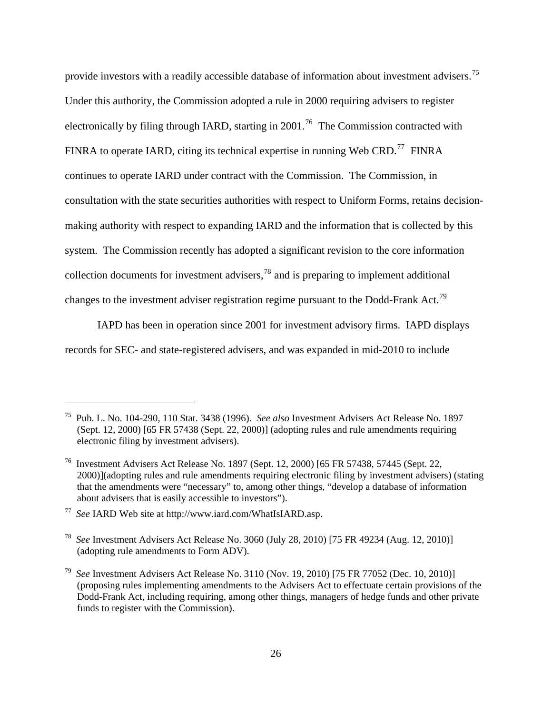provide investors with a readily accessible database of information about investment advisers.<sup>[75](#page-26-0)</sup> Under this authority, the Commission adopted a rule in 2000 requiring advisers to register electronically by filing through IARD, starting in  $2001$ .<sup>[76](#page-26-1)</sup> The Commission contracted with FINRA to operate IARD, citing its technical expertise in running Web CRD.<sup>[77](#page-26-2)</sup> FINRA continues to operate IARD under contract with the Commission. The Commission, in consultation with the state securities authorities with respect to Uniform Forms, retains decisionmaking authority with respect to expanding IARD and the information that is collected by this system. The Commission recently has adopted a significant revision to the core information collection documents for investment advisers,  $^{78}$  $^{78}$  $^{78}$  and is preparing to implement additional changes to the investment adviser registration regime pursuant to the Dodd-Frank Act.[79](#page-26-4)

IAPD has been in operation since 2001 for investment advisory firms. IAPD displays records for SEC- and state-registered advisers, and was expanded in mid-2010 to include

<span id="page-26-0"></span><sup>75</sup> Pub. L. No. 104-290, 110 Stat. 3438 (1996). *See also* Investment Advisers Act Release No. 1897 (Sept. 12, 2000) [65 FR 57438 (Sept. 22, 2000)] (adopting rules and rule amendments requiring electronic filing by investment advisers).

<span id="page-26-1"></span><sup>76</sup> Investment Advisers Act Release No. 1897 (Sept. 12, 2000) [65 FR 57438, 57445 (Sept. 22, 2000)](adopting rules and rule amendments requiring electronic filing by investment advisers) (stating that the amendments were "necessary" to, among other things, "develop a database of information about advisers that is easily accessible to investors").

<span id="page-26-2"></span><sup>77</sup> *See* IARD Web site at<http://www.iard.com/WhatIsIARD.asp>.

<span id="page-26-3"></span><sup>78</sup> *See* Investment Advisers Act Release No. 3060 (July 28, 2010) [75 FR 49234 (Aug. 12, 2010)] (adopting rule amendments to Form ADV).

<span id="page-26-4"></span><sup>79</sup> *See* Investment Advisers Act Release No. 3110 (Nov. 19, 2010) [75 FR 77052 (Dec. 10, 2010)] (proposing rules implementing amendments to the Advisers Act to effectuate certain provisions of the Dodd-Frank Act, including requiring, among other things, managers of hedge funds and other private funds to register with the Commission).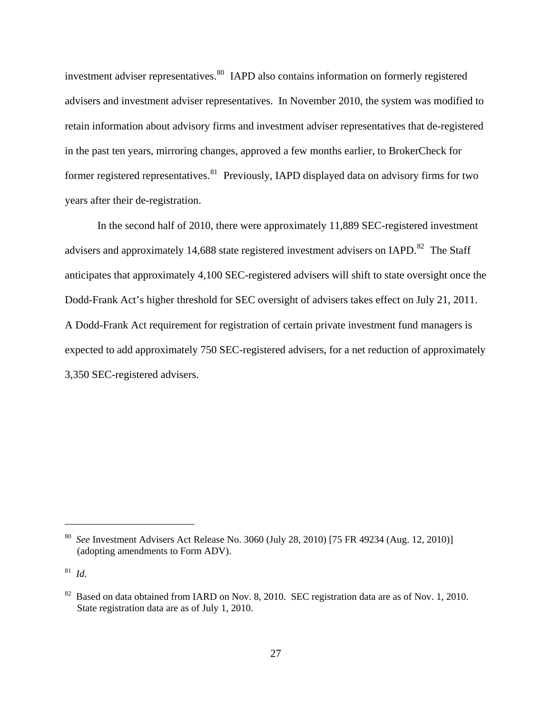investment adviser representatives.<sup>[80](#page-27-0)</sup> IAPD also contains information on formerly registered advisers and investment adviser representatives. In November 2010, the system was modified to retain information about advisory firms and investment adviser representatives that de-registered in the past ten years, mirroring changes, approved a few months earlier, to BrokerCheck for former registered representatives.<sup>[81](#page-27-1)</sup> Previously, IAPD displayed data on advisory firms for two years after their de-registration.

In the second half of 2010, there were approximately 11,889 SEC-registered investment advisers and approximately 14,688 state registered investment advisers on IAPD.<sup>[82](#page-27-2)</sup> The Staff anticipates that approximately 4,100 SEC-registered advisers will shift to state oversight once the Dodd-Frank Act's higher threshold for SEC oversight of advisers takes effect on July 21, 2011. A Dodd-Frank Act requirement for registration of certain private investment fund managers is expected to add approximately 750 SEC-registered advisers, for a net reduction of approximately 3,350 SEC-registered advisers.

<span id="page-27-0"></span><sup>80</sup> *See* Investment Advisers Act Release No. 3060 (July 28, 2010) [75 FR 49234 (Aug. 12, 2010)] (adopting amendments to Form ADV).

<span id="page-27-1"></span><sup>81</sup> *Id*.

<span id="page-27-2"></span><sup>&</sup>lt;sup>82</sup> Based on data obtained from IARD on Nov. 8, 2010. SEC registration data are as of Nov. 1, 2010. State registration data are as of July 1, 2010.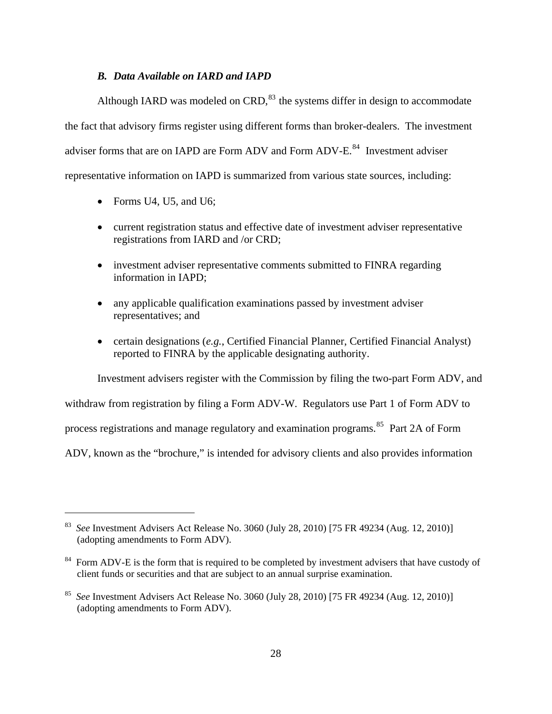# *B. Data Available on IARD and IAPD*

Although IARD was modeled on CRD,  $83$  the systems differ in design to accommodate the fact that advisory firms register using different forms than broker-dealers. The investment adviser forms that are on IAPD are Form ADV and Form ADV-E.<sup>[84](#page-28-1)</sup> Investment adviser representative information on IAPD is summarized from various state sources, including:

• Forms U4, U5, and U6;

 $\overline{a}$ 

- current registration status and effective date of investment adviser representative registrations from IARD and /or CRD;
- investment adviser representative comments submitted to FINRA regarding information in IAPD;
- any applicable qualification examinations passed by investment adviser representatives; and
- certain designations (*e.g.*, Certified Financial Planner, Certified Financial Analyst) reported to FINRA by the applicable designating authority.

Investment advisers register with the Commission by filing the two-part Form ADV, and

withdraw from registration by filing a Form ADV-W. Regulators use Part 1 of Form ADV to

process registrations and manage regulatory and examination programs.<sup>[85](#page-28-2)</sup> Part 2A of Form

ADV, known as the "brochure," is intended for advisory clients and also provides information

<span id="page-28-0"></span><sup>83</sup> *See* Investment Advisers Act Release No. 3060 (July 28, 2010) [75 FR 49234 (Aug. 12, 2010)] (adopting amendments to Form ADV).

<span id="page-28-1"></span><sup>&</sup>lt;sup>84</sup> Form ADV-E is the form that is required to be completed by investment advisers that have custody of client funds or securities and that are subject to an annual surprise examination.

<span id="page-28-2"></span><sup>85</sup> *See* Investment Advisers Act Release No. 3060 (July 28, 2010) [75 FR 49234 (Aug. 12, 2010)] (adopting amendments to Form ADV).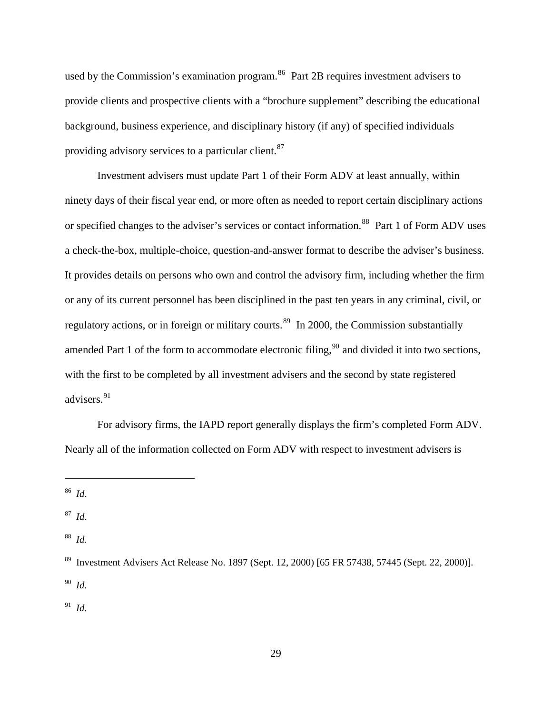used by the Commission's examination program.<sup>[86](#page-29-0)</sup> Part 2B requires investment advisers to provide clients and prospective clients with a "brochure supplement" describing the educational background, business experience, and disciplinary history (if any) of specified individuals providing advisory services to a particular client.<sup>[87](#page-29-1)</sup>

Investment advisers must update Part 1 of their Form ADV at least annually, within ninety days of their fiscal year end, or more often as needed to report certain disciplinary actions or specified changes to the adviser's services or contact information.<sup>[88](#page-29-2)</sup> Part 1 of Form ADV uses a check-the-box, multiple-choice, question-and-answer format to describe the adviser's business. It provides details on persons who own and control the advisory firm, including whether the firm or any of its current personnel has been disciplined in the past ten years in any criminal, civil, or regulatory actions, or in foreign or military courts.<sup>[89](#page-29-3)</sup> In 2000, the Commission substantially amended Part 1 of the form to accommodate electronic filing,  $90$  and divided it into two sections, with the first to be completed by all investment advisers and the second by state registered advisers.<sup>[91](#page-29-5)</sup>

For advisory firms, the IAPD report generally displays the firm's completed Form ADV. Nearly all of the information collected on Form ADV with respect to investment advisers is

 $\overline{a}$ 

<span id="page-29-1"></span>87 *Id*.

<span id="page-29-2"></span>88 *Id.* 

<span id="page-29-5"></span><span id="page-29-4"></span>91 *Id.*

<span id="page-29-0"></span><sup>86</sup> *Id*.

<span id="page-29-3"></span><sup>&</sup>lt;sup>89</sup> Investment Advisers Act Release No. 1897 (Sept. 12, 2000) [65 FR 57438, 57445 (Sept. 22, 2000)]. 90 *Id.*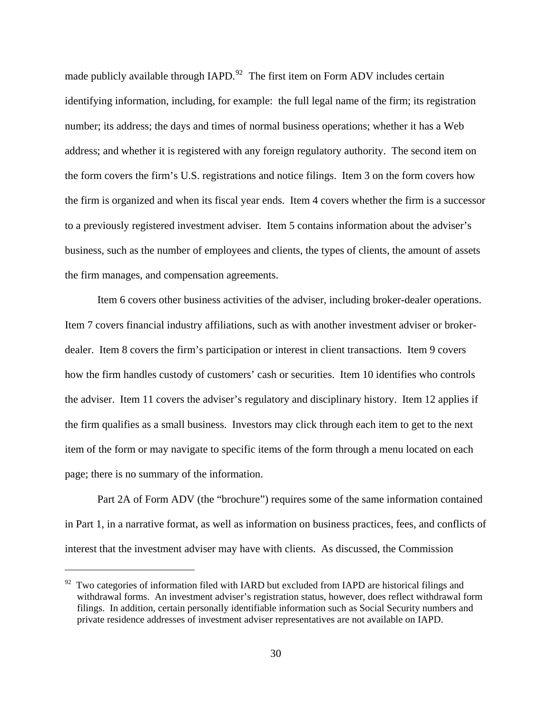made publicly available through IAPD.<sup>[92](#page-30-0)</sup> The first item on Form ADV includes certain identifying information, including, for example: the full legal name of the firm; its registration number; its address; the days and times of normal business operations; whether it has a Web address; and whether it is registered with any foreign regulatory authority. The second item on the form covers the firm's U.S. registrations and notice filings. Item 3 on the form covers how the firm is organized and when its fiscal year ends. Item 4 covers whether the firm is a successor to a previously registered investment adviser. Item 5 contains information about the adviser's business, such as the number of employees and clients, the types of clients, the amount of assets the firm manages, and compensation agreements.

Item 6 covers other business activities of the adviser, including broker-dealer operations. Item 7 covers financial industry affiliations, such as with another investment adviser or brokerdealer. Item 8 covers the firm's participation or interest in client transactions. Item 9 covers how the firm handles custody of customers' cash or securities. Item 10 identifies who controls the adviser. Item 11 covers the adviser's regulatory and disciplinary history. Item 12 applies if the firm qualifies as a small business. Investors may click through each item to get to the next item of the form or may navigate to specific items of the form through a menu located on each page; there is no summary of the information.

Part 2A of Form ADV (the "brochure") requires some of the same information contained in Part 1, in a narrative format, as well as information on business practices, fees, and conflicts of interest that the investment adviser may have with clients. As discussed, the Commission

<span id="page-30-0"></span> $92$  Two categories of information filed with IARD but excluded from IAPD are historical filings and withdrawal forms. An investment adviser's registration status, however, does reflect withdrawal form filings. In addition, certain personally identifiable information such as Social Security numbers and private residence addresses of investment adviser representatives are not available on IAPD.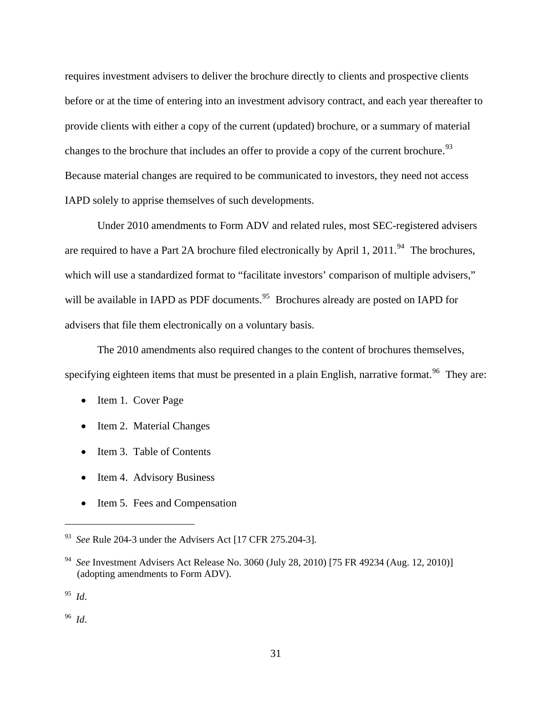requires investment advisers to deliver the brochure directly to clients and prospective clients before or at the time of entering into an investment advisory contract, and each year thereafter to provide clients with either a copy of the current (updated) brochure, or a summary of material changes to the brochure that includes an offer to provide a copy of the current brochure.<sup>[93](#page-31-0)</sup> Because material changes are required to be communicated to investors, they need not access IAPD solely to apprise themselves of such developments.

Under 2010 amendments to Form ADV and related rules, most SEC-registered advisers are required to have a Part 2A brochure filed electronically by April 1, 2011.<sup>[94](#page-31-1)</sup> The brochures, which will use a standardized format to "facilitate investors' comparison of multiple advisers," will be available in IAPD as PDF documents.<sup>[95](#page-31-2)</sup> Brochures already are posted on IAPD for advisers that file them electronically on a voluntary basis.

The 2010 amendments also required changes to the content of brochures themselves, specifying eighteen items that must be presented in a plain English, narrative format.<sup>[96](#page-31-3)</sup> They are:

- Item 1. Cover Page
- Item 2. Material Changes
- Item 3. Table of Contents
- Item 4. Advisory Business
- Item 5. Fees and Compensation

 $\overline{a}$ 

<span id="page-31-3"></span>96 *Id*.

<span id="page-31-0"></span><sup>93</sup> *See* Rule 204-3 under the Advisers Act [17 CFR 275.204-3].

<span id="page-31-1"></span><sup>94</sup> *See* Investment Advisers Act Release No. 3060 (July 28, 2010) [75 FR 49234 (Aug. 12, 2010)] (adopting amendments to Form ADV).

<span id="page-31-2"></span><sup>95</sup> *Id*.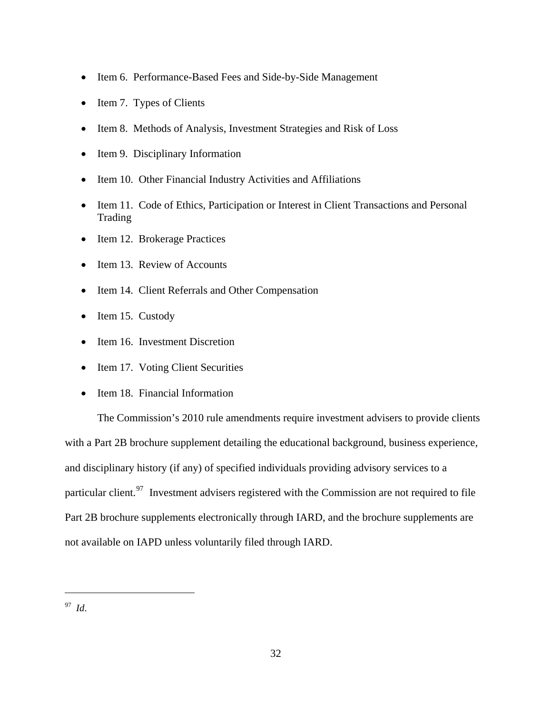- Item 6. Performance-Based Fees and Side-by-Side Management
- Item 7. Types of Clients
- Item 8. Methods of Analysis, Investment Strategies and Risk of Loss
- Item 9. Disciplinary Information
- Item 10. Other Financial Industry Activities and Affiliations
- Item 11. Code of Ethics, Participation or Interest in Client Transactions and Personal Trading
- Item 12. Brokerage Practices
- Item 13. Review of Accounts
- Item 14. Client Referrals and Other Compensation
- Item 15. Custody
- Item 16. Investment Discretion
- Item 17. Voting Client Securities
- Item 18. Financial Information

The Commission's 2010 rule amendments require investment advisers to provide clients with a Part 2B brochure supplement detailing the educational background, business experience, and disciplinary history (if any) of specified individuals providing advisory services to a particular client.<sup>[97](#page-32-0)</sup> Investment advisers registered with the Commission are not required to file Part 2B brochure supplements electronically through IARD, and the brochure supplements are not available on IAPD unless voluntarily filed through IARD.

<span id="page-32-0"></span><sup>97</sup> *Id*.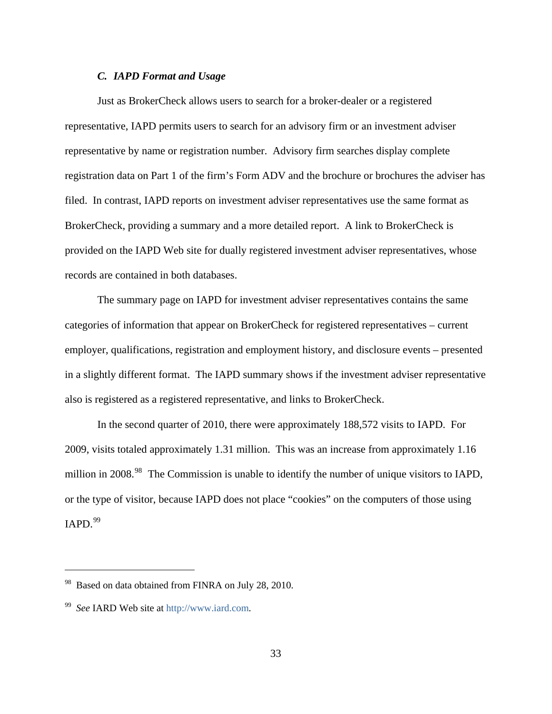### *C. IAPD Format and Usage*

Just as BrokerCheck allows users to search for a broker-dealer or a registered representative, IAPD permits users to search for an advisory firm or an investment adviser representative by name or registration number. Advisory firm searches display complete registration data on Part 1 of the firm's Form ADV and the brochure or brochures the adviser has filed. In contrast, IAPD reports on investment adviser representatives use the same format as BrokerCheck, providing a summary and a more detailed report. A link to BrokerCheck is provided on the IAPD Web site for dually registered investment adviser representatives, whose records are contained in both databases.

The summary page on IAPD for investment adviser representatives contains the same categories of information that appear on BrokerCheck for registered representatives – current employer, qualifications, registration and employment history, and disclosure events – presented in a slightly different format. The IAPD summary shows if the investment adviser representative also is registered as a registered representative, and links to BrokerCheck.

In the second quarter of 2010, there were approximately 188,572 visits to IAPD. For 2009, visits totaled approximately 1.31 million. This was an increase from approximately 1.16 million in 2008.<sup>[98](#page-33-0)</sup> The Commission is unable to identify the number of unique visitors to IAPD, or the type of visitor, because IAPD does not place "cookies" on the computers of those using  $IAPD.<sup>99</sup>$  $IAPD.<sup>99</sup>$  $IAPD.<sup>99</sup>$ 

<span id="page-33-0"></span><sup>&</sup>lt;sup>98</sup> Based on data obtained from FINRA on July 28, 2010.

<span id="page-33-1"></span><sup>99</sup> *See* IARD Web site at [http://www.iard.com](http://www.iard.com/).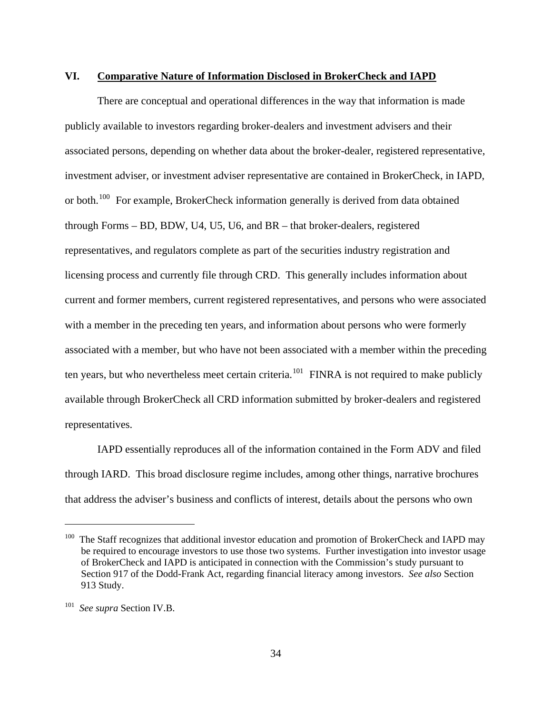## **VI. Comparative Nature of Information Disclosed in BrokerCheck and IAPD**

There are conceptual and operational differences in the way that information is made publicly available to investors regarding broker-dealers and investment advisers and their associated persons, depending on whether data about the broker-dealer, registered representative, investment adviser, or investment adviser representative are contained in BrokerCheck, in IAPD, or both.<sup>[100](#page-34-0)</sup> For example, BrokerCheck information generally is derived from data obtained through Forms – BD, BDW, U4, U5, U6, and BR – that broker-dealers, registered representatives, and regulators complete as part of the securities industry registration and licensing process and currently file through CRD. This generally includes information about current and former members, current registered representatives, and persons who were associated with a member in the preceding ten years, and information about persons who were formerly associated with a member, but who have not been associated with a member within the preceding ten years, but who nevertheless meet certain criteria.<sup>[101](#page-34-1)</sup> FINRA is not required to make publicly available through BrokerCheck all CRD information submitted by broker-dealers and registered representatives.

IAPD essentially reproduces all of the information contained in the Form ADV and filed through IARD. This broad disclosure regime includes, among other things, narrative brochures that address the adviser's business and conflicts of interest, details about the persons who own

<span id="page-34-0"></span><sup>&</sup>lt;sup>100</sup> The Staff recognizes that additional investor education and promotion of BrokerCheck and IAPD may be required to encourage investors to use those two systems. Further investigation into investor usage of BrokerCheck and IAPD is anticipated in connection with the Commission's study pursuant to Section 917 of the Dodd-Frank Act, regarding financial literacy among investors. *See also* Section 913 Study.

<span id="page-34-1"></span><sup>101</sup> *See supra* Section IV.B.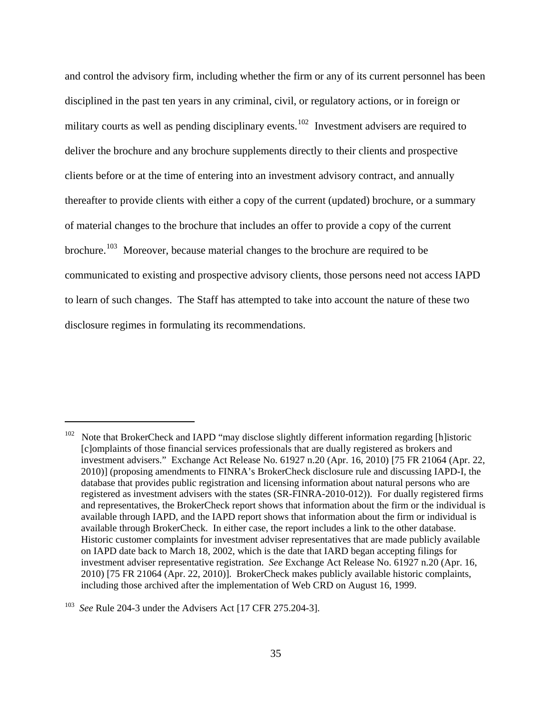and control the advisory firm, including whether the firm or any of its current personnel has been disciplined in the past ten years in any criminal, civil, or regulatory actions, or in foreign or military courts as well as pending disciplinary events.<sup>[102](#page-35-0)</sup> Investment advisers are required to deliver the brochure and any brochure supplements directly to their clients and prospective clients before or at the time of entering into an investment advisory contract, and annually thereafter to provide clients with either a copy of the current (updated) brochure, or a summary of material changes to the brochure that includes an offer to provide a copy of the current brochure.[103](#page-35-1) Moreover, because material changes to the brochure are required to be communicated to existing and prospective advisory clients, those persons need not access IAPD to learn of such changes. The Staff has attempted to take into account the nature of these two disclosure regimes in formulating its recommendations.

<span id="page-35-0"></span><sup>&</sup>lt;sup>102</sup> Note that BrokerCheck and IAPD "may disclose slightly different information regarding [h]istoric [c]omplaints of those financial services professionals that are dually registered as brokers and investment advisers." Exchange Act Release No. 61927 n.20 (Apr. 16, 2010) [75 FR 21064 (Apr. 22, 2010)] (proposing amendments to FINRA's BrokerCheck disclosure rule and discussing IAPD-I, the database that provides public registration and licensing information about natural persons who are registered as investment advisers with the states (SR-FINRA-2010-012)). For dually registered firms and representatives, the BrokerCheck report shows that information about the firm or the individual is available through IAPD, and the IAPD report shows that information about the firm or individual is available through BrokerCheck. In either case, the report includes a link to the other database. Historic customer complaints for investment adviser representatives that are made publicly available on IAPD date back to March 18, 2002, which is the date that IARD began accepting filings for investment adviser representative registration. *See* Exchange Act Release No. 61927 n.20 (Apr. 16, 2010) [75 FR 21064 (Apr. 22, 2010)]. BrokerCheck makes publicly available historic complaints, including those archived after the implementation of Web CRD on August 16, 1999.

<span id="page-35-1"></span><sup>103</sup> *See* Rule 204-3 under the Advisers Act [17 CFR 275.204-3].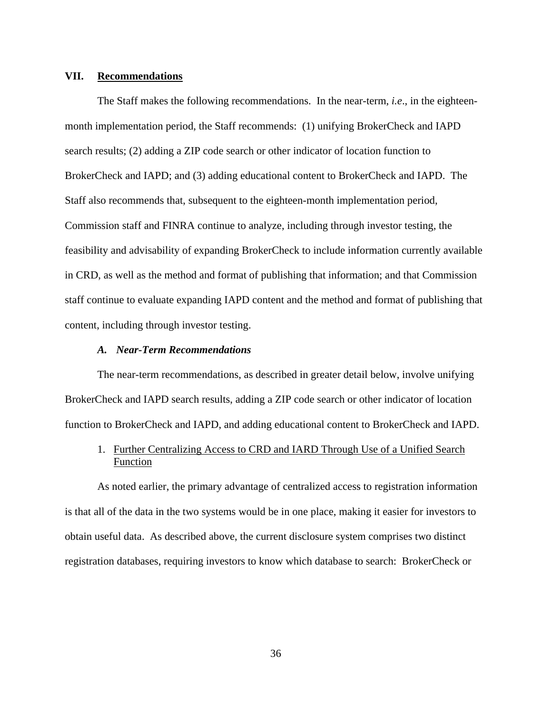#### **VII. Recommendations**

The Staff makes the following recommendations. In the near-term, *i.e*., in the eighteenmonth implementation period, the Staff recommends: (1) unifying BrokerCheck and IAPD search results; (2) adding a ZIP code search or other indicator of location function to BrokerCheck and IAPD; and (3) adding educational content to BrokerCheck and IAPD. The Staff also recommends that, subsequent to the eighteen-month implementation period, Commission staff and FINRA continue to analyze, including through investor testing, the feasibility and advisability of expanding BrokerCheck to include information currently available in CRD, as well as the method and format of publishing that information; and that Commission staff continue to evaluate expanding IAPD content and the method and format of publishing that content, including through investor testing.

#### *A. Near-Term Recommendations*

The near-term recommendations, as described in greater detail below, involve unifying BrokerCheck and IAPD search results, adding a ZIP code search or other indicator of location function to BrokerCheck and IAPD, and adding educational content to BrokerCheck and IAPD.

# 1. Further Centralizing Access to CRD and IARD Through Use of a Unified Search Function

As noted earlier, the primary advantage of centralized access to registration information is that all of the data in the two systems would be in one place, making it easier for investors to obtain useful data. As described above, the current disclosure system comprises two distinct registration databases, requiring investors to know which database to search: BrokerCheck or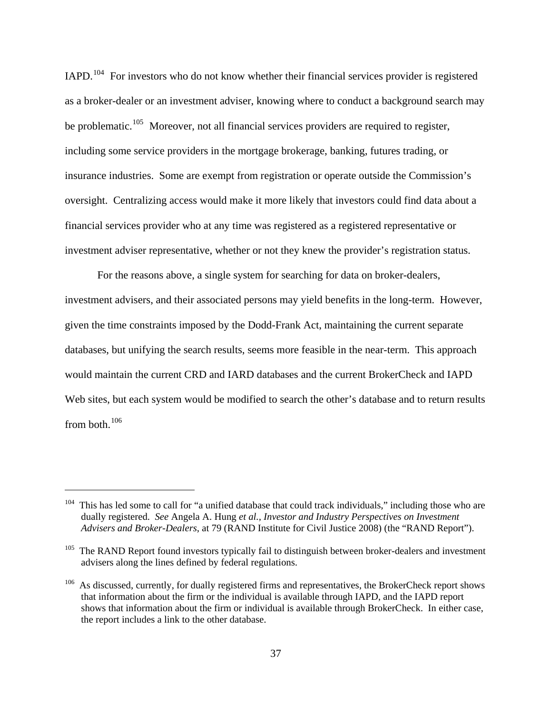IAPD.<sup>[104](#page-37-0)</sup> For investors who do not know whether their financial services provider is registered as a broker-dealer or an investment adviser, knowing where to conduct a background search may be problematic.<sup>[105](#page-37-1)</sup> Moreover, not all financial services providers are required to register, including some service providers in the mortgage brokerage, banking, futures trading, or insurance industries. Some are exempt from registration or operate outside the Commission's oversight. Centralizing access would make it more likely that investors could find data about a financial services provider who at any time was registered as a registered representative or investment adviser representative, whether or not they knew the provider's registration status.

For the reasons above, a single system for searching for data on broker-dealers, investment advisers, and their associated persons may yield benefits in the long-term. However, given the time constraints imposed by the Dodd-Frank Act, maintaining the current separate databases, but unifying the search results, seems more feasible in the near-term. This approach would maintain the current CRD and IARD databases and the current BrokerCheck and IAPD Web sites, but each system would be modified to search the other's database and to return results from both. $106$ 

<span id="page-37-0"></span>This has led some to call for "a unified database that could track individuals," including those who are dually registered. *See* Angela A. Hung *et al., Investor and Industry Perspectives on Investment Advisers and Broker-Dealers*, at 79 (RAND Institute for Civil Justice 2008) (the "RAND Report").

<span id="page-37-1"></span> $105$  The RAND Report found investors typically fail to distinguish between broker-dealers and investment advisers along the lines defined by federal regulations.

<span id="page-37-2"></span>As discussed, currently, for dually registered firms and representatives, the BrokerCheck report shows that information about the firm or the individual is available through IAPD, and the IAPD report shows that information about the firm or individual is available through BrokerCheck. In either case, the report includes a link to the other database.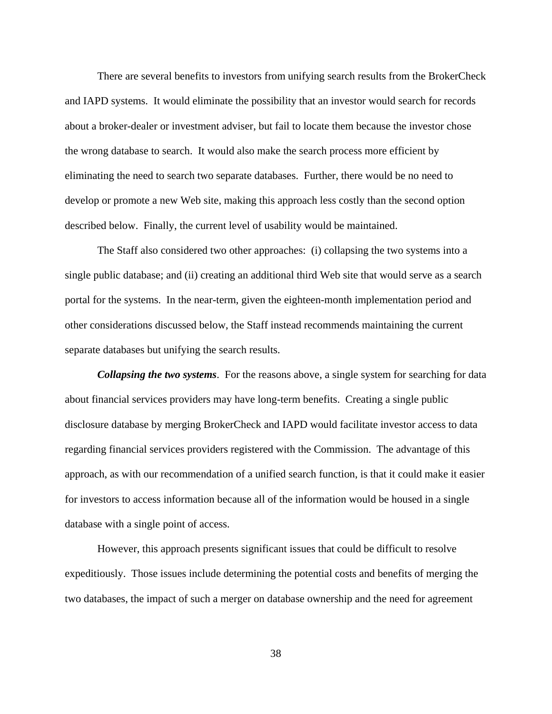There are several benefits to investors from unifying search results from the BrokerCheck and IAPD systems. It would eliminate the possibility that an investor would search for records about a broker-dealer or investment adviser, but fail to locate them because the investor chose the wrong database to search. It would also make the search process more efficient by eliminating the need to search two separate databases. Further, there would be no need to develop or promote a new Web site, making this approach less costly than the second option described below. Finally, the current level of usability would be maintained.

The Staff also considered two other approaches: (i) collapsing the two systems into a single public database; and (ii) creating an additional third Web site that would serve as a search portal for the systems. In the near-term, given the eighteen-month implementation period and other considerations discussed below, the Staff instead recommends maintaining the current separate databases but unifying the search results.

*Collapsing the two systems*. For the reasons above, a single system for searching for data about financial services providers may have long-term benefits. Creating a single public disclosure database by merging BrokerCheck and IAPD would facilitate investor access to data regarding financial services providers registered with the Commission. The advantage of this approach, as with our recommendation of a unified search function, is that it could make it easier for investors to access information because all of the information would be housed in a single database with a single point of access.

However, this approach presents significant issues that could be difficult to resolve expeditiously. Those issues include determining the potential costs and benefits of merging the two databases, the impact of such a merger on database ownership and the need for agreement

38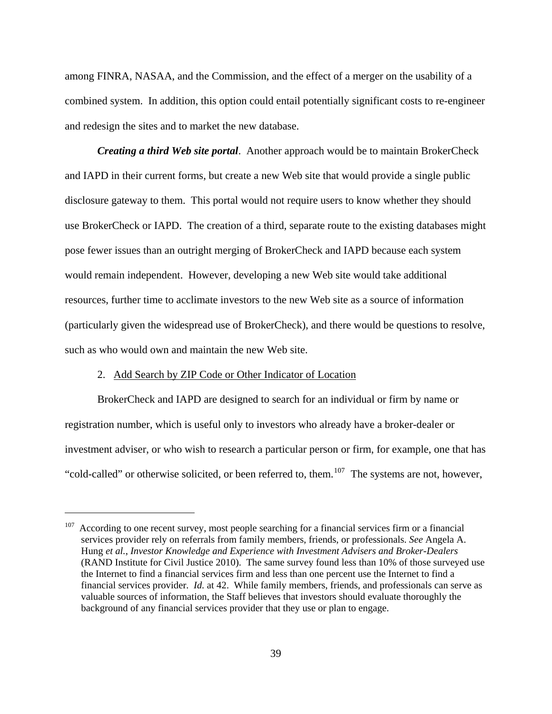among FINRA, NASAA, and the Commission, and the effect of a merger on the usability of a combined system. In addition, this option could entail potentially significant costs to re-engineer and redesign the sites and to market the new database.

*Creating a third Web site portal*. Another approach would be to maintain BrokerCheck and IAPD in their current forms, but create a new Web site that would provide a single public disclosure gateway to them. This portal would not require users to know whether they should use BrokerCheck or IAPD. The creation of a third, separate route to the existing databases might pose fewer issues than an outright merging of BrokerCheck and IAPD because each system would remain independent. However, developing a new Web site would take additional resources, further time to acclimate investors to the new Web site as a source of information (particularly given the widespread use of BrokerCheck), and there would be questions to resolve, such as who would own and maintain the new Web site.

#### 2. Add Search by ZIP Code or Other Indicator of Location

 $\overline{a}$ 

BrokerCheck and IAPD are designed to search for an individual or firm by name or registration number, which is useful only to investors who already have a broker-dealer or investment adviser, or who wish to research a particular person or firm, for example, one that has "cold-called" or otherwise solicited, or been referred to, them.<sup>[107](#page-39-0)</sup> The systems are not, however,

<span id="page-39-0"></span> $107$  According to one recent survey, most people searching for a financial services firm or a financial services provider rely on referrals from family members, friends, or professionals. *See* Angela A. Hung *et al.*, *Investor Knowledge and Experience with Investment Advisers and Broker-Dealers* (RAND Institute for Civil Justice 2010). The same survey found less than 10% of those surveyed use the Internet to find a financial services firm and less than one percent use the Internet to find a financial services provider. *Id.* at 42. While family members, friends, and professionals can serve as valuable sources of information, the Staff believes that investors should evaluate thoroughly the background of any financial services provider that they use or plan to engage.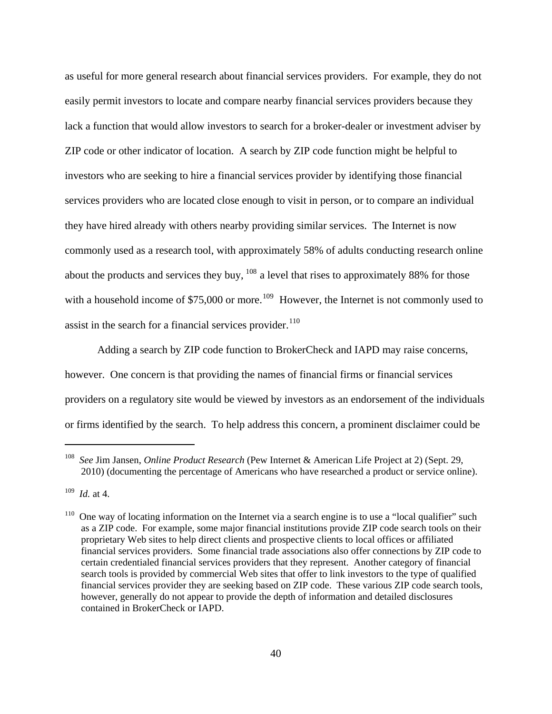as useful for more general research about financial services providers. For example, they do not easily permit investors to locate and compare nearby financial services providers because they lack a function that would allow investors to search for a broker-dealer or investment adviser by ZIP code or other indicator of location. A search by ZIP code function might be helpful to investors who are seeking to hire a financial services provider by identifying those financial services providers who are located close enough to visit in person, or to compare an individual they have hired already with others nearby providing similar services. The Internet is now commonly used as a research tool, with approximately 58% of adults conducting research online about the products and services they buy,  $^{108}$  $^{108}$  $^{108}$  a level that rises to approximately 88% for those with a household income of  $$75,000$  or more.<sup>[109](#page-40-1)</sup> However, the Internet is not commonly used to assist in the search for a financial services provider. $110$ 

Adding a search by ZIP code function to BrokerCheck and IAPD may raise concerns, however. One concern is that providing the names of financial firms or financial services providers on a regulatory site would be viewed by investors as an endorsement of the individuals or firms identified by the search. To help address this concern, a prominent disclaimer could be

<span id="page-40-0"></span><sup>108</sup> *See* Jim Jansen, *Online Product Research* (Pew Internet & American Life Project at 2) (Sept. 29, 2010) (documenting the percentage of Americans who have researched a product or service online).

<span id="page-40-1"></span><sup>109</sup> *Id.* at 4.

<span id="page-40-2"></span> $110$  One way of locating information on the Internet via a search engine is to use a "local qualifier" such as a ZIP code. For example, some major financial institutions provide ZIP code search tools on their proprietary Web sites to help direct clients and prospective clients to local offices or affiliated financial services providers. Some financial trade associations also offer connections by ZIP code to certain credentialed financial services providers that they represent. Another category of financial search tools is provided by commercial Web sites that offer to link investors to the type of qualified financial services provider they are seeking based on ZIP code. These various ZIP code search tools, however, generally do not appear to provide the depth of information and detailed disclosures contained in BrokerCheck or IAPD.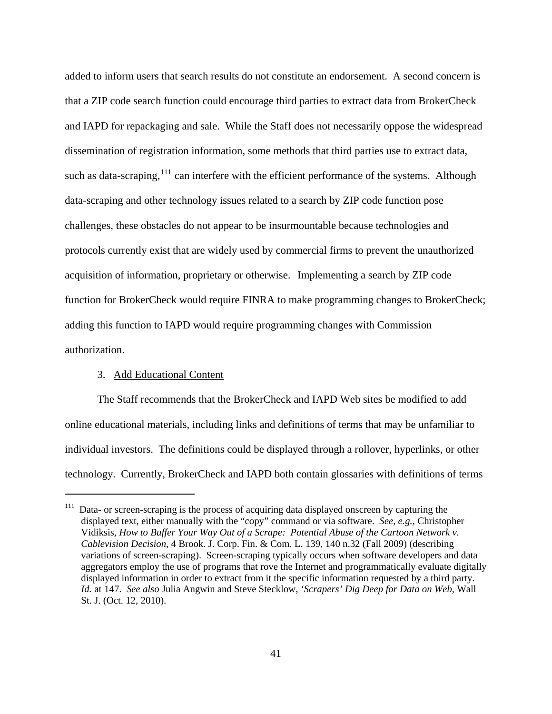added to inform users that search results do not constitute an endorsement. A second concern is that a ZIP code search function could encourage third parties to extract data from BrokerCheck and IAPD for repackaging and sale. While the Staff does not necessarily oppose the widespread dissemination of registration information, some methods that third parties use to extract data, such as data-scraping,  $111$  can interfere with the efficient performance of the systems. Although data-scraping and other technology issues related to a search by ZIP code function pose challenges, these obstacles do not appear to be insurmountable because technologies and protocols currently exist that are widely used by commercial firms to prevent the unauthorized acquisition of information, proprietary or otherwise. Implementing a search by ZIP code function for BrokerCheck would require FINRA to make programming changes to BrokerCheck; adding this function to IAPD would require programming changes with Commission authorization.

## 3. Add Educational Content

 $\overline{a}$ 

The Staff recommends that the BrokerCheck and IAPD Web sites be modified to add online educational materials, including links and definitions of terms that may be unfamiliar to individual investors. The definitions could be displayed through a rollover, hyperlinks, or other technology. Currently, BrokerCheck and IAPD both contain glossaries with definitions of terms

<span id="page-41-0"></span><sup>&</sup>lt;sup>111</sup> Data- or screen-scraping is the process of acquiring data displayed onscreen by capturing the displayed text, either manually with the "copy" command or via software. *See, e.g.,* Christopher Vidiksis, *How to Buffer Your Way Out of a Scrape: Potential Abuse of the Cartoon Network v. Cablevision Decision*, 4 Brook. J. Corp. Fin. & Com. L. 139, 140 n.32 (Fall 2009) (describing variations of screen-scraping). Screen-scraping typically occurs when software developers and data aggregators employ the use of programs that rove the Internet and programmatically evaluate digitally displayed information in order to extract from it the specific information requested by a third party. *Id.* at 147. *See also* Julia Angwin and Steve Stecklow, *'Scrapers' Dig Deep for Data on Web*, Wall St. J. (Oct. 12, 2010).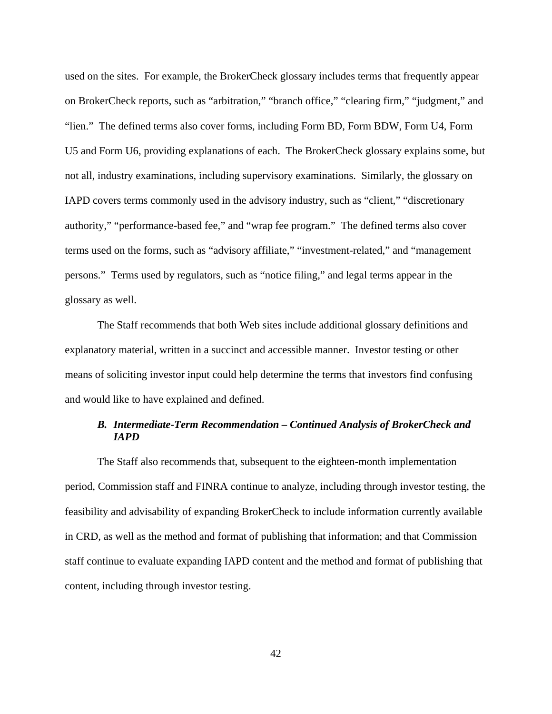used on the sites. For example, the BrokerCheck glossary includes terms that frequently appear on BrokerCheck reports, such as "arbitration," "branch office," "clearing firm," "judgment," and "lien." The defined terms also cover forms, including Form BD, Form BDW, Form U4, Form U5 and Form U6, providing explanations of each. The BrokerCheck glossary explains some, but not all, industry examinations, including supervisory examinations. Similarly, the glossary on IAPD covers terms commonly used in the advisory industry, such as "client," "discretionary authority," "performance-based fee," and "wrap fee program." The defined terms also cover terms used on the forms, such as "advisory affiliate," "investment-related," and "management persons." Terms used by regulators, such as "notice filing," and legal terms appear in the glossary as well.

The Staff recommends that both Web sites include additional glossary definitions and explanatory material, written in a succinct and accessible manner. Investor testing or other means of soliciting investor input could help determine the terms that investors find confusing and would like to have explained and defined.

# *B. Intermediate-Term Recommendation – Continued Analysis of BrokerCheck and IAPD*

The Staff also recommends that, subsequent to the eighteen-month implementation period, Commission staff and FINRA continue to analyze, including through investor testing, the feasibility and advisability of expanding BrokerCheck to include information currently available in CRD, as well as the method and format of publishing that information; and that Commission staff continue to evaluate expanding IAPD content and the method and format of publishing that content, including through investor testing.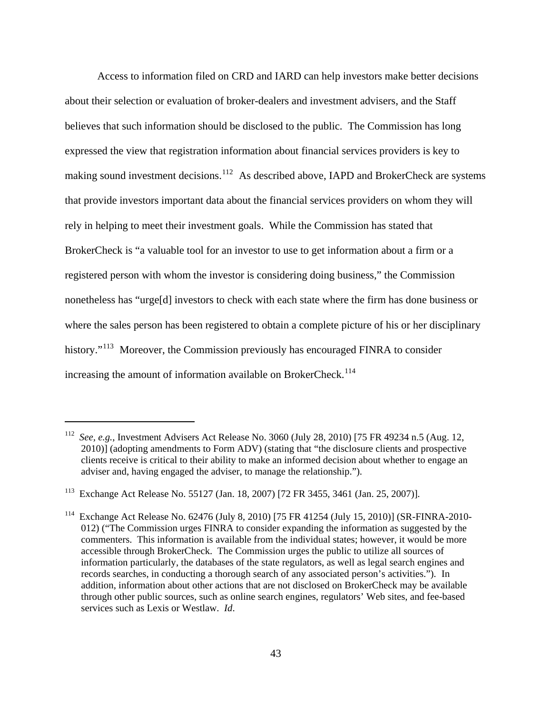Access to information filed on CRD and IARD can help investors make better decisions about their selection or evaluation of broker-dealers and investment advisers, and the Staff believes that such information should be disclosed to the public. The Commission has long expressed the view that registration information about financial services providers is key to making sound investment decisions.<sup>[112](#page-43-0)</sup> As described above, IAPD and BrokerCheck are systems that provide investors important data about the financial services providers on whom they will rely in helping to meet their investment goals. While the Commission has stated that BrokerCheck is "a valuable tool for an investor to use to get information about a firm or a registered person with whom the investor is considering doing business," the Commission nonetheless has "urge[d] investors to check with each state where the firm has done business or where the sales person has been registered to obtain a complete picture of his or her disciplinary history."<sup>[113](#page-43-1)</sup> Moreover, the Commission previously has encouraged FINRA to consider increasing the amount of information available on BrokerCheck.<sup>[114](#page-43-2)</sup>

<span id="page-43-0"></span><sup>112</sup> *See, e.g.*, Investment Advisers Act Release No. 3060 (July 28, 2010) [75 FR 49234 n.5 (Aug. 12, 2010)] (adopting amendments to Form ADV) (stating that "the disclosure clients and prospective clients receive is critical to their ability to make an informed decision about whether to engage an adviser and, having engaged the adviser, to manage the relationship.").

<span id="page-43-1"></span><sup>&</sup>lt;sup>113</sup> Exchange Act Release No. 55127 (Jan. 18, 2007) [72 FR 3455, 3461 (Jan. 25, 2007)].

<span id="page-43-2"></span><sup>114</sup> Exchange Act Release No. 62476 (July 8, 2010) [75 FR 41254 (July 15, 2010)] (SR-FINRA-2010- 012) ("The Commission urges FINRA to consider expanding the information as suggested by the commenters. This information is available from the individual states; however, it would be more accessible through BrokerCheck. The Commission urges the public to utilize all sources of information particularly, the databases of the state regulators, as well as legal search engines and records searches, in conducting a thorough search of any associated person's activities."). In addition, information about other actions that are not disclosed on BrokerCheck may be available through other public sources, such as online search engines, regulators' Web sites, and fee-based services such as Lexis or Westlaw. *Id*.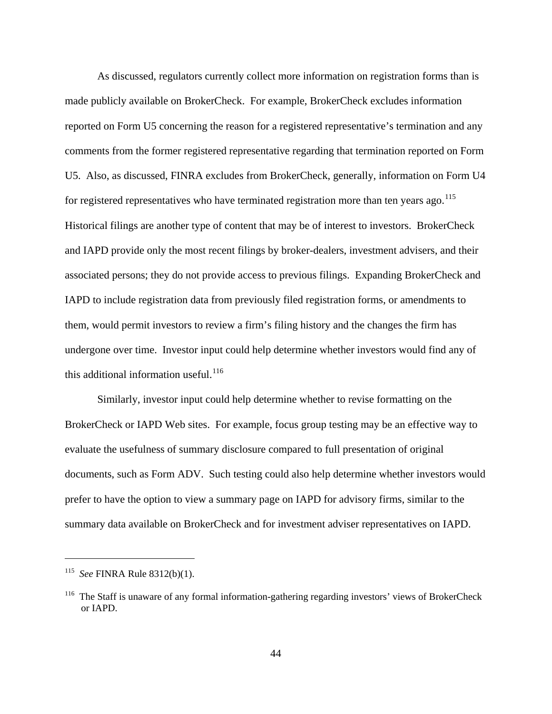As discussed, regulators currently collect more information on registration forms than is made publicly available on BrokerCheck. For example, BrokerCheck excludes information reported on Form U5 concerning the reason for a registered representative's termination and any comments from the former registered representative regarding that termination reported on Form U5. Also, as discussed, FINRA excludes from BrokerCheck, generally, information on Form U4 for registered representatives who have terminated registration more than ten years ago.<sup>[115](#page-44-0)</sup> Historical filings are another type of content that may be of interest to investors. BrokerCheck and IAPD provide only the most recent filings by broker-dealers, investment advisers, and their associated persons; they do not provide access to previous filings. Expanding BrokerCheck and IAPD to include registration data from previously filed registration forms, or amendments to them, would permit investors to review a firm's filing history and the changes the firm has undergone over time. Investor input could help determine whether investors would find any of this additional information useful. $^{116}$  $^{116}$  $^{116}$ 

Similarly, investor input could help determine whether to revise formatting on the BrokerCheck or IAPD Web sites. For example, focus group testing may be an effective way to evaluate the usefulness of summary disclosure compared to full presentation of original documents, such as Form ADV. Such testing could also help determine whether investors would prefer to have the option to view a summary page on IAPD for advisory firms, similar to the summary data available on BrokerCheck and for investment adviser representatives on IAPD.

<span id="page-44-0"></span><sup>115</sup> *See* FINRA Rule 8312(b)(1).

<span id="page-44-1"></span><sup>&</sup>lt;sup>116</sup> The Staff is unaware of any formal information-gathering regarding investors' views of BrokerCheck or IAPD.